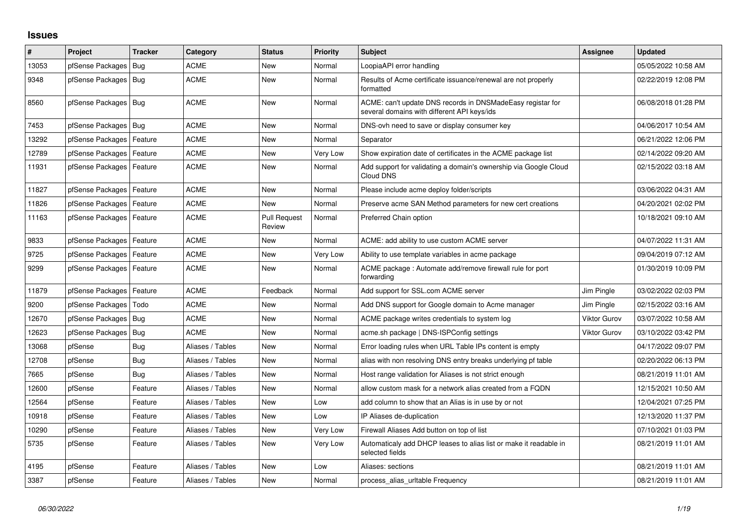## **Issues**

| #     | Project                    | <b>Tracker</b> | Category         | <b>Status</b>                 | <b>Priority</b> | <b>Subject</b>                                                                                            | Assignee            | <b>Updated</b>      |
|-------|----------------------------|----------------|------------------|-------------------------------|-----------------|-----------------------------------------------------------------------------------------------------------|---------------------|---------------------|
| 13053 | pfSense Packages           | Bug            | <b>ACME</b>      | <b>New</b>                    | Normal          | LoopiaAPI error handling                                                                                  |                     | 05/05/2022 10:58 AM |
| 9348  | pfSense Packages   Bug     |                | <b>ACME</b>      | <b>New</b>                    | Normal          | Results of Acme certificate issuance/renewal are not properly<br>formatted                                |                     | 02/22/2019 12:08 PM |
| 8560  | pfSense Packages   Bug     |                | <b>ACME</b>      | New                           | Normal          | ACME: can't update DNS records in DNSMadeEasy registar for<br>several domains with different API keys/ids |                     | 06/08/2018 01:28 PM |
| 7453  | pfSense Packages   Bug     |                | <b>ACME</b>      | New                           | Normal          | DNS-ovh need to save or display consumer key                                                              |                     | 04/06/2017 10:54 AM |
| 13292 | pfSense Packages   Feature |                | <b>ACME</b>      | New                           | Normal          | Separator                                                                                                 |                     | 06/21/2022 12:06 PM |
| 12789 | pfSense Packages           | Feature        | <b>ACME</b>      | <b>New</b>                    | Very Low        | Show expiration date of certificates in the ACME package list                                             |                     | 02/14/2022 09:20 AM |
| 11931 | pfSense Packages   Feature |                | <b>ACME</b>      | New                           | Normal          | Add support for validating a domain's ownership via Google Cloud<br>Cloud DNS                             |                     | 02/15/2022 03:18 AM |
| 11827 | pfSense Packages           | Feature        | <b>ACME</b>      | New                           | Normal          | Please include acme deploy folder/scripts                                                                 |                     | 03/06/2022 04:31 AM |
| 11826 | pfSense Packages           | Feature        | <b>ACME</b>      | New                           | Normal          | Preserve acme SAN Method parameters for new cert creations                                                |                     | 04/20/2021 02:02 PM |
| 11163 | pfSense Packages   Feature |                | ACME             | <b>Pull Request</b><br>Review | Normal          | Preferred Chain option                                                                                    |                     | 10/18/2021 09:10 AM |
| 9833  | pfSense Packages   Feature |                | <b>ACME</b>      | <b>New</b>                    | Normal          | ACME: add ability to use custom ACME server                                                               |                     | 04/07/2022 11:31 AM |
| 9725  | pfSense Packages           | Feature        | ACME             | New                           | Very Low        | Ability to use template variables in acme package                                                         |                     | 09/04/2019 07:12 AM |
| 9299  | pfSense Packages   Feature |                | <b>ACME</b>      | <b>New</b>                    | Normal          | ACME package: Automate add/remove firewall rule for port<br>forwarding                                    |                     | 01/30/2019 10:09 PM |
| 11879 | pfSense Packages   Feature |                | <b>ACME</b>      | Feedback                      | Normal          | Add support for SSL.com ACME server                                                                       | Jim Pingle          | 03/02/2022 02:03 PM |
| 9200  | pfSense Packages           | l Todo         | <b>ACME</b>      | <b>New</b>                    | Normal          | Add DNS support for Google domain to Acme manager                                                         | Jim Pingle          | 02/15/2022 03:16 AM |
| 12670 | pfSense Packages           | l Bug          | <b>ACME</b>      | New                           | Normal          | ACME package writes credentials to system log                                                             | <b>Viktor Gurov</b> | 03/07/2022 10:58 AM |
| 12623 | pfSense Packages           | Bug            | <b>ACME</b>      | <b>New</b>                    | Normal          | acme.sh package   DNS-ISPConfig settings                                                                  | <b>Viktor Gurov</b> | 03/10/2022 03:42 PM |
| 13068 | pfSense                    | Bug            | Aliases / Tables | <b>New</b>                    | Normal          | Error loading rules when URL Table IPs content is empty                                                   |                     | 04/17/2022 09:07 PM |
| 12708 | pfSense                    | Bug            | Aliases / Tables | New                           | Normal          | alias with non resolving DNS entry breaks underlying pf table                                             |                     | 02/20/2022 06:13 PM |
| 7665  | pfSense                    | Bug            | Aliases / Tables | <b>New</b>                    | Normal          | Host range validation for Aliases is not strict enough                                                    |                     | 08/21/2019 11:01 AM |
| 12600 | pfSense                    | Feature        | Aliases / Tables | New                           | Normal          | allow custom mask for a network alias created from a FQDN                                                 |                     | 12/15/2021 10:50 AM |
| 12564 | pfSense                    | Feature        | Aliases / Tables | <b>New</b>                    | Low             | add column to show that an Alias is in use by or not                                                      |                     | 12/04/2021 07:25 PM |
| 10918 | pfSense                    | Feature        | Aliases / Tables | <b>New</b>                    | Low             | IP Aliases de-duplication                                                                                 |                     | 12/13/2020 11:37 PM |
| 10290 | pfSense                    | Feature        | Aliases / Tables | New                           | Very Low        | Firewall Aliases Add button on top of list                                                                |                     | 07/10/2021 01:03 PM |
| 5735  | pfSense                    | Feature        | Aliases / Tables | <b>New</b>                    | Very Low        | Automaticaly add DHCP leases to alias list or make it readable in<br>selected fields                      |                     | 08/21/2019 11:01 AM |
| 4195  | pfSense                    | Feature        | Aliases / Tables | <b>New</b>                    | Low             | Aliases: sections                                                                                         |                     | 08/21/2019 11:01 AM |
| 3387  | pfSense                    | Feature        | Aliases / Tables | <b>New</b>                    | Normal          | process_alias_urItable Frequency                                                                          |                     | 08/21/2019 11:01 AM |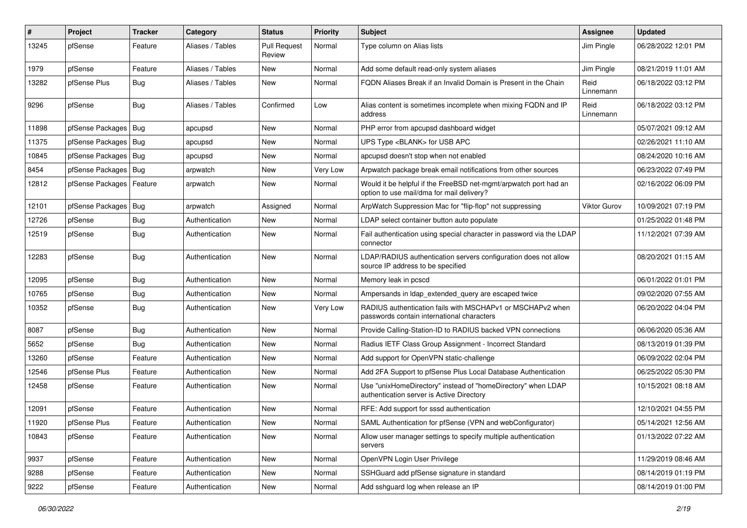| #     | Project                    | Tracker    | Category         | <b>Status</b>                 | <b>Priority</b> | <b>Subject</b>                                                                                                | <b>Assignee</b>   | <b>Updated</b>      |
|-------|----------------------------|------------|------------------|-------------------------------|-----------------|---------------------------------------------------------------------------------------------------------------|-------------------|---------------------|
| 13245 | pfSense                    | Feature    | Aliases / Tables | <b>Pull Request</b><br>Review | Normal          | Type column on Alias lists                                                                                    | Jim Pingle        | 06/28/2022 12:01 PM |
| 1979  | pfSense                    | Feature    | Aliases / Tables | <b>New</b>                    | Normal          | Add some default read-only system aliases                                                                     | Jim Pingle        | 08/21/2019 11:01 AM |
| 13282 | pfSense Plus               | Bug        | Aliases / Tables | New                           | Normal          | FQDN Aliases Break if an Invalid Domain is Present in the Chain                                               | Reid<br>Linnemann | 06/18/2022 03:12 PM |
| 9296  | pfSense                    | <b>Bug</b> | Aliases / Tables | Confirmed                     | Low             | Alias content is sometimes incomplete when mixing FQDN and IP<br>address                                      | Reid<br>Linnemann | 06/18/2022 03:12 PM |
| 11898 | pfSense Packages   Bug     |            | apcupsd          | New                           | Normal          | PHP error from apcupsd dashboard widget                                                                       |                   | 05/07/2021 09:12 AM |
| 11375 | pfSense Packages   Bug     |            | apcupsd          | New                           | Normal          | UPS Type <blank> for USB APC</blank>                                                                          |                   | 02/26/2021 11:10 AM |
| 10845 | pfSense Packages   Bug     |            | apcupsd          | New                           | Normal          | apcupsd doesn't stop when not enabled                                                                         |                   | 08/24/2020 10:16 AM |
| 8454  | pfSense Packages   Bug     |            | arpwatch         | New                           | Very Low        | Arpwatch package break email notifications from other sources                                                 |                   | 06/23/2022 07:49 PM |
| 12812 | pfSense Packages   Feature |            | arpwatch         | New                           | Normal          | Would it be helpful if the FreeBSD net-mgmt/arpwatch port had an<br>option to use mail/dma for mail delivery? |                   | 02/16/2022 06:09 PM |
| 12101 | pfSense Packages   Bug     |            | arpwatch         | Assigned                      | Normal          | ArpWatch Suppression Mac for "flip-flop" not suppressing                                                      | Viktor Gurov      | 10/09/2021 07:19 PM |
| 12726 | pfSense                    | <b>Bug</b> | Authentication   | New                           | Normal          | LDAP select container button auto populate                                                                    |                   | 01/25/2022 01:48 PM |
| 12519 | pfSense                    | <b>Bug</b> | Authentication   | New                           | Normal          | Fail authentication using special character in password via the LDAP<br>connector                             |                   | 11/12/2021 07:39 AM |
| 12283 | pfSense                    | Bug        | Authentication   | New                           | Normal          | LDAP/RADIUS authentication servers configuration does not allow<br>source IP address to be specified          |                   | 08/20/2021 01:15 AM |
| 12095 | pfSense                    | Bug        | Authentication   | New                           | Normal          | Memory leak in pcscd                                                                                          |                   | 06/01/2022 01:01 PM |
| 10765 | pfSense                    | Bug        | Authentication   | New                           | Normal          | Ampersands in Idap_extended_query are escaped twice                                                           |                   | 09/02/2020 07:55 AM |
| 10352 | pfSense                    | <b>Bug</b> | Authentication   | New                           | Very Low        | RADIUS authentication fails with MSCHAPv1 or MSCHAPv2 when<br>passwords contain international characters      |                   | 06/20/2022 04:04 PM |
| 8087  | pfSense                    | Bug        | Authentication   | New                           | Normal          | Provide Calling-Station-ID to RADIUS backed VPN connections                                                   |                   | 06/06/2020 05:36 AM |
| 5652  | pfSense                    | Bug        | Authentication   | New                           | Normal          | Radius IETF Class Group Assignment - Incorrect Standard                                                       |                   | 08/13/2019 01:39 PM |
| 13260 | pfSense                    | Feature    | Authentication   | New                           | Normal          | Add support for OpenVPN static-challenge                                                                      |                   | 06/09/2022 02:04 PM |
| 12546 | pfSense Plus               | Feature    | Authentication   | New                           | Normal          | Add 2FA Support to pfSense Plus Local Database Authentication                                                 |                   | 06/25/2022 05:30 PM |
| 12458 | pfSense                    | Feature    | Authentication   | New                           | Normal          | Use "unixHomeDirectory" instead of "homeDirectory" when LDAP<br>authentication server is Active Directory     |                   | 10/15/2021 08:18 AM |
| 12091 | pfSense                    | Feature    | Authentication   | New                           | Normal          | RFE: Add support for sssd authentication                                                                      |                   | 12/10/2021 04:55 PM |
| 11920 | pfSense Plus               | Feature    | Authentication   | New                           | Normal          | SAML Authentication for pfSense (VPN and webConfigurator)                                                     |                   | 05/14/2021 12:56 AM |
| 10843 | pfSense                    | Feature    | Authentication   | New                           | Normal          | Allow user manager settings to specify multiple authentication<br>servers                                     |                   | 01/13/2022 07:22 AM |
| 9937  | pfSense                    | Feature    | Authentication   | New                           | Normal          | OpenVPN Login User Privilege                                                                                  |                   | 11/29/2019 08:46 AM |
| 9288  | pfSense                    | Feature    | Authentication   | New                           | Normal          | SSHGuard add pfSense signature in standard                                                                    |                   | 08/14/2019 01:19 PM |
| 9222  | pfSense                    | Feature    | Authentication   | New                           | Normal          | Add sshguard log when release an IP                                                                           |                   | 08/14/2019 01:00 PM |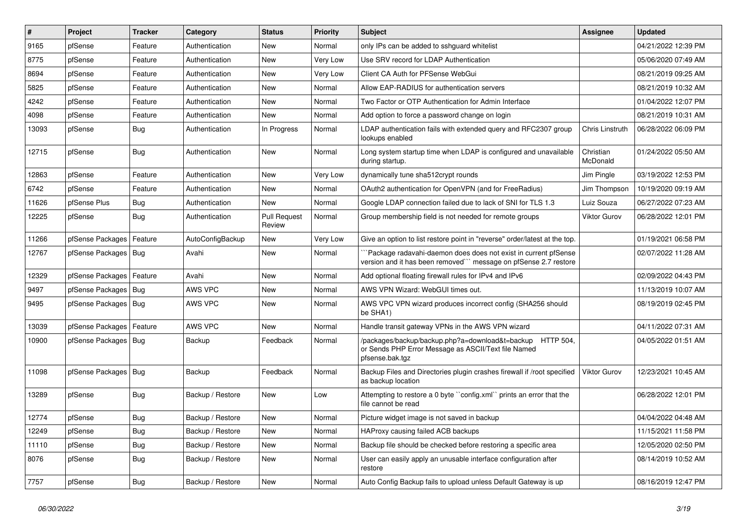| #     | Project                | <b>Tracker</b> | Category         | <b>Status</b>                 | <b>Priority</b> | Subject                                                                                                                             | <b>Assignee</b>       | <b>Updated</b>      |
|-------|------------------------|----------------|------------------|-------------------------------|-----------------|-------------------------------------------------------------------------------------------------------------------------------------|-----------------------|---------------------|
| 9165  | pfSense                | Feature        | Authentication   | New                           | Normal          | only IPs can be added to sshguard whitelist                                                                                         |                       | 04/21/2022 12:39 PM |
| 8775  | pfSense                | Feature        | Authentication   | New                           | Very Low        | Use SRV record for LDAP Authentication                                                                                              |                       | 05/06/2020 07:49 AM |
| 8694  | pfSense                | Feature        | Authentication   | New                           | Very Low        | Client CA Auth for PFSense WebGui                                                                                                   |                       | 08/21/2019 09:25 AM |
| 5825  | pfSense                | Feature        | Authentication   | <b>New</b>                    | Normal          | Allow EAP-RADIUS for authentication servers                                                                                         |                       | 08/21/2019 10:32 AM |
| 4242  | pfSense                | Feature        | Authentication   | <b>New</b>                    | Normal          | Two Factor or OTP Authentication for Admin Interface                                                                                |                       | 01/04/2022 12:07 PM |
| 4098  | pfSense                | Feature        | Authentication   | <b>New</b>                    | Normal          | Add option to force a password change on login                                                                                      |                       | 08/21/2019 10:31 AM |
| 13093 | pfSense                | Bug            | Authentication   | In Progress                   | Normal          | LDAP authentication fails with extended query and RFC2307 group<br>lookups enabled                                                  | Chris Linstruth       | 06/28/2022 06:09 PM |
| 12715 | pfSense                | Bug            | Authentication   | <b>New</b>                    | Normal          | Long system startup time when LDAP is configured and unavailable<br>during startup.                                                 | Christian<br>McDonald | 01/24/2022 05:50 AM |
| 12863 | pfSense                | Feature        | Authentication   | New                           | Very Low        | dynamically tune sha512crypt rounds                                                                                                 | Jim Pingle            | 03/19/2022 12:53 PM |
| 6742  | pfSense                | Feature        | Authentication   | <b>New</b>                    | Normal          | OAuth2 authentication for OpenVPN (and for FreeRadius)                                                                              | Jim Thompson          | 10/19/2020 09:19 AM |
| 11626 | pfSense Plus           | Bug            | Authentication   | <b>New</b>                    | Normal          | Google LDAP connection failed due to lack of SNI for TLS 1.3                                                                        | Luiz Souza            | 06/27/2022 07:23 AM |
| 12225 | pfSense                | Bug            | Authentication   | <b>Pull Request</b><br>Review | Normal          | Group membership field is not needed for remote groups                                                                              | <b>Viktor Gurov</b>   | 06/28/2022 12:01 PM |
| 11266 | pfSense Packages       | Feature        | AutoConfigBackup | <b>New</b>                    | Very Low        | Give an option to list restore point in "reverse" order/latest at the top.                                                          |                       | 01/19/2021 06:58 PM |
| 12767 | pfSense Packages   Bug |                | Avahi            | New                           | Normal          | Package radavahi-daemon does does not exist in current pfSense<br>version and it has been removed"" message on pfSense 2.7 restore  |                       | 02/07/2022 11:28 AM |
| 12329 | pfSense Packages       | Feature        | Avahi            | New                           | Normal          | Add optional floating firewall rules for IPv4 and IPv6                                                                              |                       | 02/09/2022 04:43 PM |
| 9497  | pfSense Packages       | Bug            | AWS VPC          | New                           | Normal          | AWS VPN Wizard: WebGUI times out.                                                                                                   |                       | 11/13/2019 10:07 AM |
| 9495  | pfSense Packages   Bug |                | AWS VPC          | <b>New</b>                    | Normal          | AWS VPC VPN wizard produces incorrect config (SHA256 should<br>be SHA1)                                                             |                       | 08/19/2019 02:45 PM |
| 13039 | pfSense Packages       | Feature        | AWS VPC          | New                           | Normal          | Handle transit gateway VPNs in the AWS VPN wizard                                                                                   |                       | 04/11/2022 07:31 AM |
| 10900 | pfSense Packages       | Bug            | Backup           | Feedback                      | Normal          | /packages/backup/backup.php?a=download&t=backup HTTP 504,<br>or Sends PHP Error Message as ASCII/Text file Named<br>pfsense.bak.tgz |                       | 04/05/2022 01:51 AM |
| 11098 | pfSense Packages       | Bug            | Backup           | Feedback                      | Normal          | Backup Files and Directories plugin crashes firewall if /root specified<br>as backup location                                       | Viktor Gurov          | 12/23/2021 10:45 AM |
| 13289 | pfSense                | Bug            | Backup / Restore | <b>New</b>                    | Low             | Attempting to restore a 0 byte "config.xml" prints an error that the<br>file cannot be read                                         |                       | 06/28/2022 12:01 PM |
| 12774 | pfSense                | Bug            | Backup / Restore | <b>New</b>                    | Normal          | Picture widget image is not saved in backup                                                                                         |                       | 04/04/2022 04:48 AM |
| 12249 | pfSense                | Bug            | Backup / Restore | New                           | Normal          | HAProxy causing failed ACB backups                                                                                                  |                       | 11/15/2021 11:58 PM |
| 11110 | pfSense                | <b>Bug</b>     | Backup / Restore | New                           | Normal          | Backup file should be checked before restoring a specific area                                                                      |                       | 12/05/2020 02:50 PM |
| 8076  | pfSense                | <b>Bug</b>     | Backup / Restore | New                           | Normal          | User can easily apply an unusable interface configuration after<br>restore                                                          |                       | 08/14/2019 10:52 AM |
| 7757  | pfSense                | Bug            | Backup / Restore | New                           | Normal          | Auto Config Backup fails to upload unless Default Gateway is up                                                                     |                       | 08/16/2019 12:47 PM |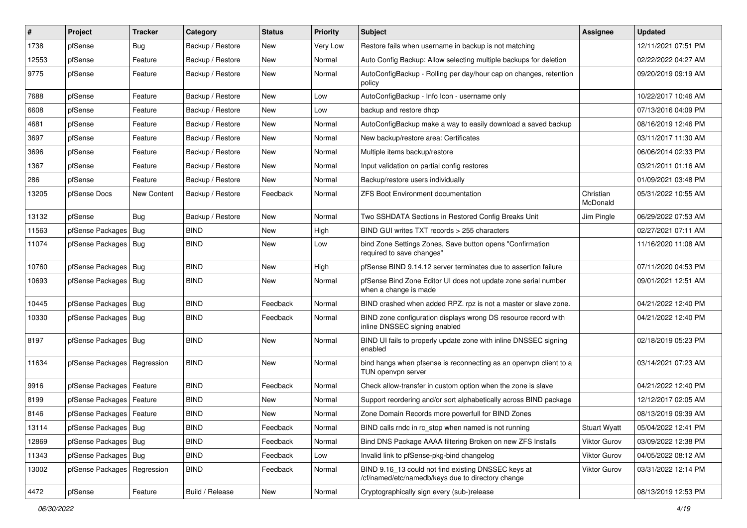| #     | Project                       | <b>Tracker</b> | Category         | <b>Status</b> | <b>Priority</b> | <b>Subject</b>                                                                                           | Assignee              | <b>Updated</b>      |
|-------|-------------------------------|----------------|------------------|---------------|-----------------|----------------------------------------------------------------------------------------------------------|-----------------------|---------------------|
| 1738  | pfSense                       | Bug            | Backup / Restore | New           | <b>Very Low</b> | Restore fails when username in backup is not matching                                                    |                       | 12/11/2021 07:51 PM |
| 12553 | pfSense                       | Feature        | Backup / Restore | <b>New</b>    | Normal          | Auto Config Backup: Allow selecting multiple backups for deletion                                        |                       | 02/22/2022 04:27 AM |
| 9775  | pfSense                       | Feature        | Backup / Restore | New           | Normal          | AutoConfigBackup - Rolling per day/hour cap on changes, retention<br>policy                              |                       | 09/20/2019 09:19 AM |
| 7688  | pfSense                       | Feature        | Backup / Restore | <b>New</b>    | Low             | AutoConfigBackup - Info Icon - username only                                                             |                       | 10/22/2017 10:46 AM |
| 6608  | pfSense                       | Feature        | Backup / Restore | <b>New</b>    | Low             | backup and restore dhcp                                                                                  |                       | 07/13/2016 04:09 PM |
| 4681  | pfSense                       | Feature        | Backup / Restore | New           | Normal          | AutoConfigBackup make a way to easily download a saved backup                                            |                       | 08/16/2019 12:46 PM |
| 3697  | pfSense                       | Feature        | Backup / Restore | New           | Normal          | New backup/restore area: Certificates                                                                    |                       | 03/11/2017 11:30 AM |
| 3696  | pfSense                       | Feature        | Backup / Restore | New           | Normal          | Multiple items backup/restore                                                                            |                       | 06/06/2014 02:33 PM |
| 1367  | pfSense                       | Feature        | Backup / Restore | <b>New</b>    | Normal          | Input validation on partial config restores                                                              |                       | 03/21/2011 01:16 AM |
| 286   | pfSense                       | Feature        | Backup / Restore | New           | Normal          | Backup/restore users individually                                                                        |                       | 01/09/2021 03:48 PM |
| 13205 | pfSense Docs                  | New Content    | Backup / Restore | Feedback      | Normal          | <b>ZFS Boot Environment documentation</b>                                                                | Christian<br>McDonald | 05/31/2022 10:55 AM |
| 13132 | pfSense                       | Bug            | Backup / Restore | <b>New</b>    | Normal          | Two SSHDATA Sections in Restored Config Breaks Unit                                                      | Jim Pingle            | 06/29/2022 07:53 AM |
| 11563 | pfSense Packages   Bug        |                | <b>BIND</b>      | <b>New</b>    | High            | BIND GUI writes TXT records > 255 characters                                                             |                       | 02/27/2021 07:11 AM |
| 11074 | pfSense Packages   Bug        |                | <b>BIND</b>      | New           | Low             | bind Zone Settings Zones, Save button opens "Confirmation<br>required to save changes"                   |                       | 11/16/2020 11:08 AM |
| 10760 | pfSense Packages   Bug        |                | <b>BIND</b>      | <b>New</b>    | High            | pfSense BIND 9.14.12 server terminates due to assertion failure                                          |                       | 07/11/2020 04:53 PM |
| 10693 | pfSense Packages   Bug        |                | BIND             | New           | Normal          | pfSense Bind Zone Editor UI does not update zone serial number<br>when a change is made                  |                       | 09/01/2021 12:51 AM |
| 10445 | pfSense Packages   Bug        |                | <b>BIND</b>      | Feedback      | Normal          | BIND crashed when added RPZ. rpz is not a master or slave zone.                                          |                       | 04/21/2022 12:40 PM |
| 10330 | pfSense Packages   Bug        |                | <b>BIND</b>      | Feedback      | Normal          | BIND zone configuration displays wrong DS resource record with<br>inline DNSSEC signing enabled          |                       | 04/21/2022 12:40 PM |
| 8197  | pfSense Packages   Bug        |                | <b>BIND</b>      | New           | Normal          | BIND UI fails to properly update zone with inline DNSSEC signing<br>enabled                              |                       | 02/18/2019 05:23 PM |
| 11634 | pfSense Packages   Regression |                | <b>BIND</b>      | New           | Normal          | bind hangs when pfsense is reconnecting as an openvpn client to a<br>TUN openvpn server                  |                       | 03/14/2021 07:23 AM |
| 9916  | pfSense Packages              | Feature        | <b>BIND</b>      | Feedback      | Normal          | Check allow-transfer in custom option when the zone is slave                                             |                       | 04/21/2022 12:40 PM |
| 8199  | pfSense Packages              | Feature        | <b>BIND</b>      | <b>New</b>    | Normal          | Support reordering and/or sort alphabetically across BIND package                                        |                       | 12/12/2017 02:05 AM |
| 8146  | pfSense Packages   Feature    |                | <b>BIND</b>      | <b>New</b>    | Normal          | Zone Domain Records more powerfull for BIND Zones                                                        |                       | 08/13/2019 09:39 AM |
| 13114 | pfSense Packages   Bug        |                | <b>BIND</b>      | Feedback      | Normal          | BIND calls rndc in rc_stop when named is not running                                                     | <b>Stuart Wyatt</b>   | 05/04/2022 12:41 PM |
| 12869 | pfSense Packages   Bug        |                | <b>BIND</b>      | Feedback      | Normal          | Bind DNS Package AAAA filtering Broken on new ZFS Installs                                               | Viktor Gurov          | 03/09/2022 12:38 PM |
| 11343 | pfSense Packages   Bug        |                | <b>BIND</b>      | Feedback      | Low             | Invalid link to pfSense-pkg-bind changelog                                                               | Viktor Gurov          | 04/05/2022 08:12 AM |
| 13002 | pfSense Packages   Regression |                | <b>BIND</b>      | Feedback      | Normal          | BIND 9.16_13 could not find existing DNSSEC keys at<br>/cf/named/etc/namedb/keys due to directory change | <b>Viktor Gurov</b>   | 03/31/2022 12:14 PM |
| 4472  | pfSense                       | Feature        | Build / Release  | New           | Normal          | Cryptographically sign every (sub-)release                                                               |                       | 08/13/2019 12:53 PM |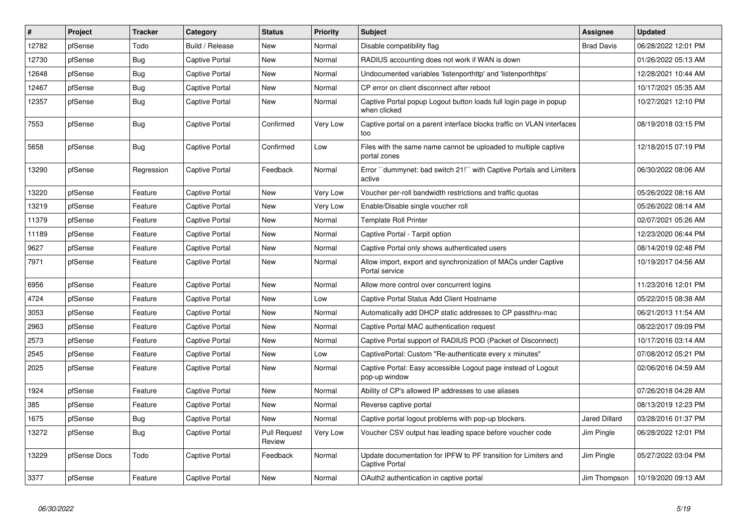| $\vert$ # | Project      | <b>Tracker</b> | Category              | <b>Status</b>                 | <b>Priority</b> | <b>Subject</b>                                                                    | Assignee             | <b>Updated</b>      |
|-----------|--------------|----------------|-----------------------|-------------------------------|-----------------|-----------------------------------------------------------------------------------|----------------------|---------------------|
| 12782     | pfSense      | Todo           | Build / Release       | New                           | Normal          | Disable compatibility flag                                                        | <b>Brad Davis</b>    | 06/28/2022 12:01 PM |
| 12730     | pfSense      | Bug            | Captive Portal        | <b>New</b>                    | Normal          | RADIUS accounting does not work if WAN is down                                    |                      | 01/26/2022 05:13 AM |
| 12648     | pfSense      | <b>Bug</b>     | Captive Portal        | <b>New</b>                    | Normal          | Undocumented variables 'listenporthttp' and 'listenporthttps'                     |                      | 12/28/2021 10:44 AM |
| 12467     | pfSense      | Bug            | Captive Portal        | New                           | Normal          | CP error on client disconnect after reboot                                        |                      | 10/17/2021 05:35 AM |
| 12357     | pfSense      | Bug            | Captive Portal        | <b>New</b>                    | Normal          | Captive Portal popup Logout button loads full login page in popup<br>when clicked |                      | 10/27/2021 12:10 PM |
| 7553      | pfSense      | <b>Bug</b>     | <b>Captive Portal</b> | Confirmed                     | Very Low        | Captive portal on a parent interface blocks traffic on VLAN interfaces<br>too     |                      | 08/19/2018 03:15 PM |
| 5658      | pfSense      | <b>Bug</b>     | Captive Portal        | Confirmed                     | Low             | Files with the same name cannot be uploaded to multiple captive<br>portal zones   |                      | 12/18/2015 07:19 PM |
| 13290     | pfSense      | Regression     | <b>Captive Portal</b> | Feedback                      | Normal          | Error "dummynet: bad switch 21!" with Captive Portals and Limiters<br>active      |                      | 06/30/2022 08:06 AM |
| 13220     | pfSense      | Feature        | Captive Portal        | <b>New</b>                    | Very Low        | Voucher per-roll bandwidth restrictions and traffic quotas                        |                      | 05/26/2022 08:16 AM |
| 13219     | pfSense      | Feature        | Captive Portal        | New                           | Very Low        | Enable/Disable single voucher roll                                                |                      | 05/26/2022 08:14 AM |
| 11379     | pfSense      | Feature        | <b>Captive Portal</b> | <b>New</b>                    | Normal          | <b>Template Roll Printer</b>                                                      |                      | 02/07/2021 05:26 AM |
| 11189     | pfSense      | Feature        | Captive Portal        | <b>New</b>                    | Normal          | Captive Portal - Tarpit option                                                    |                      | 12/23/2020 06:44 PM |
| 9627      | pfSense      | Feature        | Captive Portal        | <b>New</b>                    | Normal          | Captive Portal only shows authenticated users                                     |                      | 08/14/2019 02:48 PM |
| 7971      | pfSense      | Feature        | Captive Portal        | New                           | Normal          | Allow import, export and synchronization of MACs under Captive<br>Portal service  |                      | 10/19/2017 04:56 AM |
| 6956      | pfSense      | Feature        | Captive Portal        | <b>New</b>                    | Normal          | Allow more control over concurrent logins                                         |                      | 11/23/2016 12:01 PM |
| 4724      | pfSense      | Feature        | Captive Portal        | <b>New</b>                    | Low             | Captive Portal Status Add Client Hostname                                         |                      | 05/22/2015 08:38 AM |
| 3053      | pfSense      | Feature        | Captive Portal        | <b>New</b>                    | Normal          | Automatically add DHCP static addresses to CP passthru-mac                        |                      | 06/21/2013 11:54 AM |
| 2963      | pfSense      | Feature        | Captive Portal        | New                           | Normal          | Captive Portal MAC authentication request                                         |                      | 08/22/2017 09:09 PM |
| 2573      | pfSense      | Feature        | Captive Portal        | <b>New</b>                    | Normal          | Captive Portal support of RADIUS POD (Packet of Disconnect)                       |                      | 10/17/2016 03:14 AM |
| 2545      | pfSense      | Feature        | Captive Portal        | <b>New</b>                    | Low             | CaptivePortal: Custom "Re-authenticate every x minutes"                           |                      | 07/08/2012 05:21 PM |
| 2025      | pfSense      | Feature        | Captive Portal        | <b>New</b>                    | Normal          | Captive Portal: Easy accessible Logout page instead of Logout<br>pop-up window    |                      | 02/06/2016 04:59 AM |
| 1924      | pfSense      | Feature        | Captive Portal        | <b>New</b>                    | Normal          | Ability of CP's allowed IP addresses to use aliases                               |                      | 07/26/2018 04:28 AM |
| 385       | pfSense      | Feature        | Captive Portal        | <b>New</b>                    | Normal          | Reverse captive portal                                                            |                      | 08/13/2019 12:23 PM |
| 1675      | pfSense      | Bug            | Captive Portal        | New                           | Normal          | Captive portal logout problems with pop-up blockers.                              | <b>Jared Dillard</b> | 03/28/2016 01:37 PM |
| 13272     | pfSense      | <b>Bug</b>     | Captive Portal        | <b>Pull Request</b><br>Review | Very Low        | Voucher CSV output has leading space before voucher code                          | Jim Pingle           | 06/28/2022 12:01 PM |
| 13229     | pfSense Docs | Todo           | Captive Portal        | Feedback                      | Normal          | Update documentation for IPFW to PF transition for Limiters and<br>Captive Portal | Jim Pingle           | 05/27/2022 03:04 PM |
| 3377      | pfSense      | Feature        | <b>Captive Portal</b> | <b>New</b>                    | Normal          | OAuth2 authentication in captive portal                                           | Jim Thompson         | 10/19/2020 09:13 AM |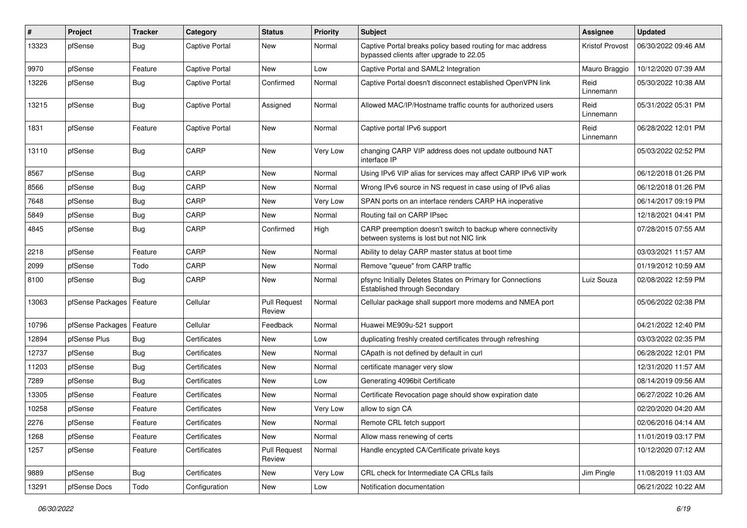| #     | Project                    | <b>Tracker</b> | Category       | <b>Status</b>                 | <b>Priority</b> | Subject                                                                                                 | <b>Assignee</b>        | <b>Updated</b>      |
|-------|----------------------------|----------------|----------------|-------------------------------|-----------------|---------------------------------------------------------------------------------------------------------|------------------------|---------------------|
| 13323 | pfSense                    | Bug            | Captive Portal | New                           | Normal          | Captive Portal breaks policy based routing for mac address<br>bypassed clients after upgrade to 22.05   | <b>Kristof Provost</b> | 06/30/2022 09:46 AM |
| 9970  | pfSense                    | Feature        | Captive Portal | New                           | Low             | Captive Portal and SAML2 Integration                                                                    | Mauro Braggio          | 10/12/2020 07:39 AM |
| 13226 | pfSense                    | Bug            | Captive Portal | Confirmed                     | Normal          | Captive Portal doesn't disconnect established OpenVPN link                                              | Reid<br>Linnemann      | 05/30/2022 10:38 AM |
| 13215 | pfSense                    | Bug            | Captive Portal | Assigned                      | Normal          | Allowed MAC/IP/Hostname traffic counts for authorized users                                             | Reid<br>Linnemann      | 05/31/2022 05:31 PM |
| 1831  | pfSense                    | Feature        | Captive Portal | <b>New</b>                    | Normal          | Captive portal IPv6 support                                                                             | Reid<br>Linnemann      | 06/28/2022 12:01 PM |
| 13110 | pfSense                    | Bug            | CARP           | New                           | Very Low        | changing CARP VIP address does not update outbound NAT<br>interface IP                                  |                        | 05/03/2022 02:52 PM |
| 8567  | pfSense                    | Bug            | CARP           | New                           | Normal          | Using IPv6 VIP alias for services may affect CARP IPv6 VIP work                                         |                        | 06/12/2018 01:26 PM |
| 8566  | pfSense                    | <b>Bug</b>     | CARP           | New                           | Normal          | Wrong IPv6 source in NS request in case using of IPv6 alias                                             |                        | 06/12/2018 01:26 PM |
| 7648  | pfSense                    | <b>Bug</b>     | CARP           | New                           | Very Low        | SPAN ports on an interface renders CARP HA inoperative                                                  |                        | 06/14/2017 09:19 PM |
| 5849  | pfSense                    | Bug            | CARP           | New                           | Normal          | Routing fail on CARP IPsec                                                                              |                        | 12/18/2021 04:41 PM |
| 4845  | pfSense                    | Bug            | CARP           | Confirmed                     | High            | CARP preemption doesn't switch to backup where connectivity<br>between systems is lost but not NIC link |                        | 07/28/2015 07:55 AM |
| 2218  | pfSense                    | Feature        | CARP           | New                           | Normal          | Ability to delay CARP master status at boot time                                                        |                        | 03/03/2021 11:57 AM |
| 2099  | pfSense                    | Todo           | CARP           | New                           | Normal          | Remove "queue" from CARP traffic                                                                        |                        | 01/19/2012 10:59 AM |
| 8100  | pfSense                    | Bug            | CARP           | New                           | Normal          | pfsync Initially Deletes States on Primary for Connections<br>Established through Secondary             | Luiz Souza             | 02/08/2022 12:59 PM |
| 13063 | pfSense Packages   Feature |                | Cellular       | <b>Pull Request</b><br>Review | Normal          | Cellular package shall support more modems and NMEA port                                                |                        | 05/06/2022 02:38 PM |
| 10796 | pfSense Packages           | Feature        | Cellular       | Feedback                      | Normal          | Huawei ME909u-521 support                                                                               |                        | 04/21/2022 12:40 PM |
| 12894 | pfSense Plus               | <b>Bug</b>     | Certificates   | New                           | Low             | duplicating freshly created certificates through refreshing                                             |                        | 03/03/2022 02:35 PM |
| 12737 | pfSense                    | <b>Bug</b>     | Certificates   | New                           | Normal          | CApath is not defined by default in curl                                                                |                        | 06/28/2022 12:01 PM |
| 11203 | pfSense                    | <b>Bug</b>     | Certificates   | New                           | Normal          | certificate manager very slow                                                                           |                        | 12/31/2020 11:57 AM |
| 7289  | pfSense                    | Bug            | Certificates   | New                           | Low             | Generating 4096bit Certificate                                                                          |                        | 08/14/2019 09:56 AM |
| 13305 | pfSense                    | Feature        | Certificates   | New                           | Normal          | Certificate Revocation page should show expiration date                                                 |                        | 06/27/2022 10:26 AM |
| 10258 | pfSense                    | Feature        | Certificates   | New                           | Very Low        | allow to sign CA                                                                                        |                        | 02/20/2020 04:20 AM |
| 2276  | pfSense                    | Feature        | Certificates   | New                           | Normal          | Remote CRL fetch support                                                                                |                        | 02/06/2016 04:14 AM |
| 1268  | pfSense                    | Feature        | Certificates   | New                           | Normal          | Allow mass renewing of certs                                                                            |                        | 11/01/2019 03:17 PM |
| 1257  | pfSense                    | Feature        | Certificates   | <b>Pull Request</b><br>Review | Normal          | Handle encypted CA/Certificate private keys                                                             |                        | 10/12/2020 07:12 AM |
| 9889  | pfSense                    | <b>Bug</b>     | Certificates   | New                           | Very Low        | CRL check for Intermediate CA CRLs fails                                                                | Jim Pingle             | 11/08/2019 11:03 AM |
| 13291 | pfSense Docs               | Todo           | Configuration  | New                           | Low             | Notification documentation                                                                              |                        | 06/21/2022 10:22 AM |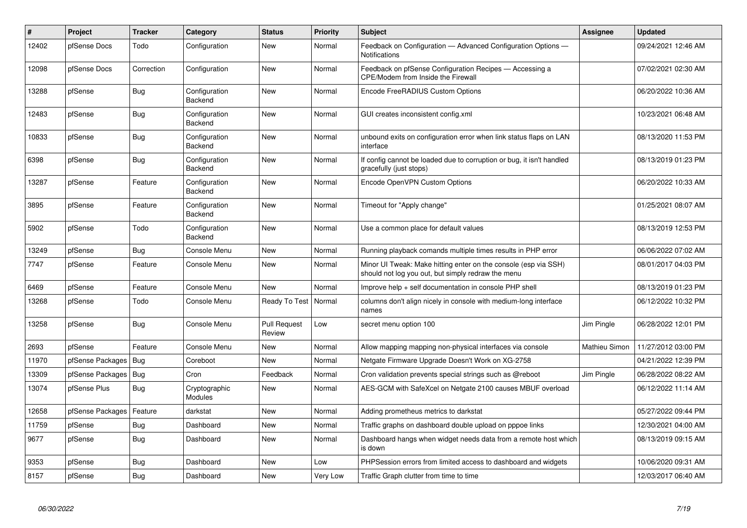| $\vert$ # | Project          | <b>Tracker</b> | Category                 | <b>Status</b>                 | <b>Priority</b> | <b>Subject</b>                                                                                                        | Assignee      | <b>Updated</b>      |
|-----------|------------------|----------------|--------------------------|-------------------------------|-----------------|-----------------------------------------------------------------------------------------------------------------------|---------------|---------------------|
| 12402     | pfSense Docs     | Todo           | Configuration            | <b>New</b>                    | Normal          | Feedback on Configuration - Advanced Configuration Options -<br>Notifications                                         |               | 09/24/2021 12:46 AM |
| 12098     | pfSense Docs     | Correction     | Configuration            | <b>New</b>                    | Normal          | Feedback on pfSense Configuration Recipes - Accessing a<br><b>CPE/Modem from Inside the Firewall</b>                  |               | 07/02/2021 02:30 AM |
| 13288     | pfSense          | <b>Bug</b>     | Configuration<br>Backend | <b>New</b>                    | Normal          | Encode FreeRADIUS Custom Options                                                                                      |               | 06/20/2022 10:36 AM |
| 12483     | pfSense          | Bug            | Configuration<br>Backend | <b>New</b>                    | Normal          | GUI creates inconsistent config.xml                                                                                   |               | 10/23/2021 06:48 AM |
| 10833     | pfSense          | <b>Bug</b>     | Configuration<br>Backend | <b>New</b>                    | Normal          | unbound exits on configuration error when link status flaps on LAN<br>interface                                       |               | 08/13/2020 11:53 PM |
| 6398      | pfSense          | Bug            | Configuration<br>Backend | <b>New</b>                    | Normal          | If config cannot be loaded due to corruption or bug, it isn't handled<br>gracefully (just stops)                      |               | 08/13/2019 01:23 PM |
| 13287     | pfSense          | Feature        | Configuration<br>Backend | <b>New</b>                    | Normal          | Encode OpenVPN Custom Options                                                                                         |               | 06/20/2022 10:33 AM |
| 3895      | pfSense          | Feature        | Configuration<br>Backend | <b>New</b>                    | Normal          | Timeout for "Apply change"                                                                                            |               | 01/25/2021 08:07 AM |
| 5902      | pfSense          | Todo           | Configuration<br>Backend | <b>New</b>                    | Normal          | Use a common place for default values                                                                                 |               | 08/13/2019 12:53 PM |
| 13249     | pfSense          | Bug            | Console Menu             | <b>New</b>                    | Normal          | Running playback comands multiple times results in PHP error                                                          |               | 06/06/2022 07:02 AM |
| 7747      | pfSense          | Feature        | Console Menu             | <b>New</b>                    | Normal          | Minor UI Tweak: Make hitting enter on the console (esp via SSH)<br>should not log you out, but simply redraw the menu |               | 08/01/2017 04:03 PM |
| 6469      | pfSense          | Feature        | Console Menu             | <b>New</b>                    | Normal          | Improve help + self documentation in console PHP shell                                                                |               | 08/13/2019 01:23 PM |
| 13268     | pfSense          | Todo           | Console Menu             | Ready To Test                 | Normal          | columns don't align nicely in console with medium-long interface<br>names                                             |               | 06/12/2022 10:32 PM |
| 13258     | pfSense          | Bug            | Console Menu             | <b>Pull Request</b><br>Review | Low             | secret menu option 100                                                                                                | Jim Pingle    | 06/28/2022 12:01 PM |
| 2693      | pfSense          | Feature        | Console Menu             | <b>New</b>                    | Normal          | Allow mapping mapping non-physical interfaces via console                                                             | Mathieu Simon | 11/27/2012 03:00 PM |
| 11970     | pfSense Packages | Bug            | Coreboot                 | New                           | Normal          | Netgate Firmware Upgrade Doesn't Work on XG-2758                                                                      |               | 04/21/2022 12:39 PM |
| 13309     | pfSense Packages | Bug            | Cron                     | Feedback                      | Normal          | Cron validation prevents special strings such as @reboot                                                              | Jim Pingle    | 06/28/2022 08:22 AM |
| 13074     | pfSense Plus     | Bug            | Cryptographic<br>Modules | <b>New</b>                    | Normal          | AES-GCM with SafeXcel on Netgate 2100 causes MBUF overload                                                            |               | 06/12/2022 11:14 AM |
| 12658     | pfSense Packages | Feature        | darkstat                 | <b>New</b>                    | Normal          | Adding prometheus metrics to darkstat                                                                                 |               | 05/27/2022 09:44 PM |
| 11759     | pfSense          | <b>Bug</b>     | Dashboard                | <b>New</b>                    | Normal          | Traffic graphs on dashboard double upload on pppoe links                                                              |               | 12/30/2021 04:00 AM |
| 9677      | pfSense          | <b>Bug</b>     | Dashboard                | <b>New</b>                    | Normal          | Dashboard hangs when widget needs data from a remote host which<br>is down                                            |               | 08/13/2019 09:15 AM |
| 9353      | pfSense          | <b>Bug</b>     | Dashboard                | <b>New</b>                    | Low             | PHPSession errors from limited access to dashboard and widgets                                                        |               | 10/06/2020 09:31 AM |
| 8157      | pfSense          | Bug            | Dashboard                | <b>New</b>                    | Very Low        | Traffic Graph clutter from time to time                                                                               |               | 12/03/2017 06:40 AM |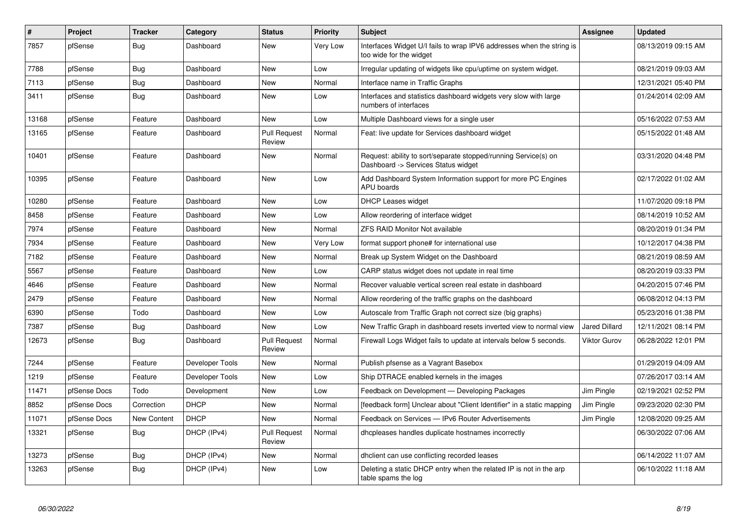| $\sharp$ | Project      | <b>Tracker</b>     | Category        | <b>Status</b>                 | <b>Priority</b> | <b>Subject</b>                                                                                         | Assignee             | <b>Updated</b>      |
|----------|--------------|--------------------|-----------------|-------------------------------|-----------------|--------------------------------------------------------------------------------------------------------|----------------------|---------------------|
| 7857     | pfSense      | <b>Bug</b>         | Dashboard       | <b>New</b>                    | Very Low        | Interfaces Widget U/I fails to wrap IPV6 addresses when the string is<br>too wide for the widget       |                      | 08/13/2019 09:15 AM |
| 7788     | pfSense      | <b>Bug</b>         | Dashboard       | New                           | Low             | Irregular updating of widgets like cpu/uptime on system widget.                                        |                      | 08/21/2019 09:03 AM |
| 7113     | pfSense      | Bug                | Dashboard       | New                           | Normal          | Interface name in Traffic Graphs                                                                       |                      | 12/31/2021 05:40 PM |
| 3411     | pfSense      | <b>Bug</b>         | Dashboard       | New                           | Low             | Interfaces and statistics dashboard widgets very slow with large<br>numbers of interfaces              |                      | 01/24/2014 02:09 AM |
| 13168    | pfSense      | Feature            | Dashboard       | New                           | Low             | Multiple Dashboard views for a single user                                                             |                      | 05/16/2022 07:53 AM |
| 13165    | pfSense      | Feature            | Dashboard       | <b>Pull Request</b><br>Review | Normal          | Feat: live update for Services dashboard widget                                                        |                      | 05/15/2022 01:48 AM |
| 10401    | pfSense      | Feature            | Dashboard       | New                           | Normal          | Request: ability to sort/separate stopped/running Service(s) on<br>Dashboard -> Services Status widget |                      | 03/31/2020 04:48 PM |
| 10395    | pfSense      | Feature            | Dashboard       | <b>New</b>                    | Low             | Add Dashboard System Information support for more PC Engines<br><b>APU</b> boards                      |                      | 02/17/2022 01:02 AM |
| 10280    | pfSense      | Feature            | Dashboard       | <b>New</b>                    | Low             | DHCP Leases widget                                                                                     |                      | 11/07/2020 09:18 PM |
| 8458     | pfSense      | Feature            | Dashboard       | <b>New</b>                    | Low             | Allow reordering of interface widget                                                                   |                      | 08/14/2019 10:52 AM |
| 7974     | pfSense      | Feature            | Dashboard       | New                           | Normal          | <b>ZFS RAID Monitor Not available</b>                                                                  |                      | 08/20/2019 01:34 PM |
| 7934     | pfSense      | Feature            | Dashboard       | <b>New</b>                    | <b>Very Low</b> | format support phone# for international use                                                            |                      | 10/12/2017 04:38 PM |
| 7182     | pfSense      | Feature            | Dashboard       | <b>New</b>                    | Normal          | Break up System Widget on the Dashboard                                                                |                      | 08/21/2019 08:59 AM |
| 5567     | pfSense      | Feature            | Dashboard       | New                           | Low             | CARP status widget does not update in real time                                                        |                      | 08/20/2019 03:33 PM |
| 4646     | pfSense      | Feature            | Dashboard       | <b>New</b>                    | Normal          | Recover valuable vertical screen real estate in dashboard                                              |                      | 04/20/2015 07:46 PM |
| 2479     | pfSense      | Feature            | Dashboard       | <b>New</b>                    | Normal          | Allow reordering of the traffic graphs on the dashboard                                                |                      | 06/08/2012 04:13 PM |
| 6390     | pfSense      | Todo               | Dashboard       | New                           | Low             | Autoscale from Traffic Graph not correct size (big graphs)                                             |                      | 05/23/2016 01:38 PM |
| 7387     | pfSense      | Bug                | Dashboard       | New                           | Low             | New Traffic Graph in dashboard resets inverted view to normal view                                     | <b>Jared Dillard</b> | 12/11/2021 08:14 PM |
| 12673    | pfSense      | <b>Bug</b>         | Dashboard       | <b>Pull Request</b><br>Review | Normal          | Firewall Logs Widget fails to update at intervals below 5 seconds.                                     | <b>Viktor Gurov</b>  | 06/28/2022 12:01 PM |
| 7244     | pfSense      | Feature            | Developer Tools | <b>New</b>                    | Normal          | Publish pfsense as a Vagrant Basebox                                                                   |                      | 01/29/2019 04:09 AM |
| 1219     | pfSense      | Feature            | Developer Tools | New                           | Low             | Ship DTRACE enabled kernels in the images                                                              |                      | 07/26/2017 03:14 AM |
| 11471    | pfSense Docs | Todo               | Development     | New                           | Low             | Feedback on Development - Developing Packages                                                          | Jim Pingle           | 02/19/2021 02:52 PM |
| 8852     | pfSense Docs | Correction         | <b>DHCP</b>     | New                           | Normal          | [feedback form] Unclear about "Client Identifier" in a static mapping                                  | Jim Pingle           | 09/23/2020 02:30 PM |
| 11071    | pfSense Docs | <b>New Content</b> | <b>DHCP</b>     | New                           | Normal          | Feedback on Services - IPv6 Router Advertisements                                                      | Jim Pingle           | 12/08/2020 09:25 AM |
| 13321    | pfSense      | Bug                | DHCP (IPv4)     | <b>Pull Request</b><br>Review | Normal          | dhcpleases handles duplicate hostnames incorrectly                                                     |                      | 06/30/2022 07:06 AM |
| 13273    | pfSense      | Bug                | DHCP (IPv4)     | <b>New</b>                    | Normal          | dholient can use conflicting recorded leases                                                           |                      | 06/14/2022 11:07 AM |
| 13263    | pfSense      | Bug                | DHCP (IPv4)     | <b>New</b>                    | Low             | Deleting a static DHCP entry when the related IP is not in the arp<br>table spams the log              |                      | 06/10/2022 11:18 AM |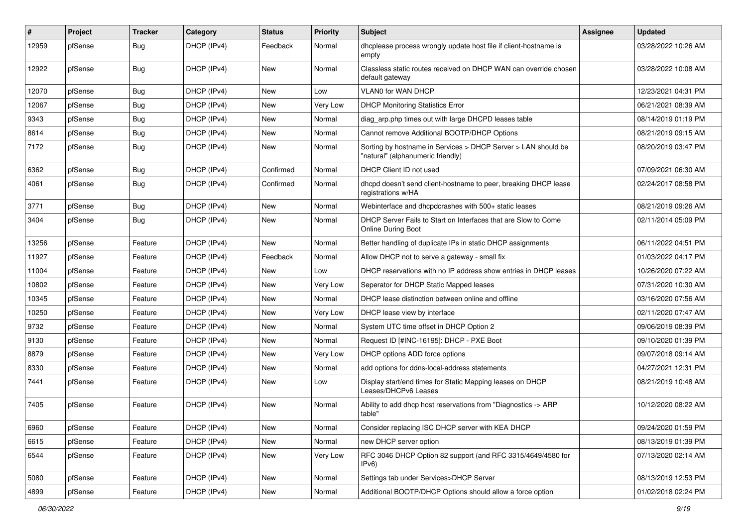| #     | Project | <b>Tracker</b> | Category    | <b>Status</b> | <b>Priority</b> | Subject                                                                                            | Assignee | <b>Updated</b>      |
|-------|---------|----------------|-------------|---------------|-----------------|----------------------------------------------------------------------------------------------------|----------|---------------------|
| 12959 | pfSense | <b>Bug</b>     | DHCP (IPv4) | Feedback      | Normal          | dhcplease process wrongly update host file if client-hostname is<br>empty                          |          | 03/28/2022 10:26 AM |
| 12922 | pfSense | <b>Bug</b>     | DHCP (IPv4) | <b>New</b>    | Normal          | Classless static routes received on DHCP WAN can override chosen<br>default gateway                |          | 03/28/2022 10:08 AM |
| 12070 | pfSense | <b>Bug</b>     | DHCP (IPv4) | <b>New</b>    | Low             | VLAN0 for WAN DHCP                                                                                 |          | 12/23/2021 04:31 PM |
| 12067 | pfSense | <b>Bug</b>     | DHCP (IPv4) | New           | Very Low        | <b>DHCP Monitoring Statistics Error</b>                                                            |          | 06/21/2021 08:39 AM |
| 9343  | pfSense | Bug            | DHCP (IPv4) | New           | Normal          | diag_arp.php times out with large DHCPD leases table                                               |          | 08/14/2019 01:19 PM |
| 8614  | pfSense | <b>Bug</b>     | DHCP (IPv4) | <b>New</b>    | Normal          | Cannot remove Additional BOOTP/DHCP Options                                                        |          | 08/21/2019 09:15 AM |
| 7172  | pfSense | <b>Bug</b>     | DHCP (IPv4) | <b>New</b>    | Normal          | Sorting by hostname in Services > DHCP Server > LAN should be<br>"natural" (alphanumeric friendly) |          | 08/20/2019 03:47 PM |
| 6362  | pfSense | <b>Bug</b>     | DHCP (IPv4) | Confirmed     | Normal          | DHCP Client ID not used                                                                            |          | 07/09/2021 06:30 AM |
| 4061  | pfSense | Bug            | DHCP (IPv4) | Confirmed     | Normal          | dhcpd doesn't send client-hostname to peer, breaking DHCP lease<br>registrations w/HA              |          | 02/24/2017 08:58 PM |
| 3771  | pfSense | Bug            | DHCP (IPv4) | <b>New</b>    | Normal          | Webinterface and dhcpdcrashes with 500+ static leases                                              |          | 08/21/2019 09:26 AM |
| 3404  | pfSense | Bug            | DHCP (IPv4) | New           | Normal          | DHCP Server Fails to Start on Interfaces that are Slow to Come<br><b>Online During Boot</b>        |          | 02/11/2014 05:09 PM |
| 13256 | pfSense | Feature        | DHCP (IPv4) | New           | Normal          | Better handling of duplicate IPs in static DHCP assignments                                        |          | 06/11/2022 04:51 PM |
| 11927 | pfSense | Feature        | DHCP (IPv4) | Feedback      | Normal          | Allow DHCP not to serve a gateway - small fix                                                      |          | 01/03/2022 04:17 PM |
| 11004 | pfSense | Feature        | DHCP (IPv4) | New           | Low             | DHCP reservations with no IP address show entries in DHCP leases                                   |          | 10/26/2020 07:22 AM |
| 10802 | pfSense | Feature        | DHCP (IPv4) | <b>New</b>    | Very Low        | Seperator for DHCP Static Mapped leases                                                            |          | 07/31/2020 10:30 AM |
| 10345 | pfSense | Feature        | DHCP (IPv4) | <b>New</b>    | Normal          | DHCP lease distinction between online and offline                                                  |          | 03/16/2020 07:56 AM |
| 10250 | pfSense | Feature        | DHCP (IPv4) | New           | Very Low        | DHCP lease view by interface                                                                       |          | 02/11/2020 07:47 AM |
| 9732  | pfSense | Feature        | DHCP (IPv4) | New           | Normal          | System UTC time offset in DHCP Option 2                                                            |          | 09/06/2019 08:39 PM |
| 9130  | pfSense | Feature        | DHCP (IPv4) | <b>New</b>    | Normal          | Request ID [#INC-16195]: DHCP - PXE Boot                                                           |          | 09/10/2020 01:39 PM |
| 8879  | pfSense | Feature        | DHCP (IPv4) | New           | Very Low        | DHCP options ADD force options                                                                     |          | 09/07/2018 09:14 AM |
| 8330  | pfSense | Feature        | DHCP (IPv4) | <b>New</b>    | Normal          | add options for ddns-local-address statements                                                      |          | 04/27/2021 12:31 PM |
| 7441  | pfSense | Feature        | DHCP (IPv4) | New           | Low             | Display start/end times for Static Mapping leases on DHCP<br>Leases/DHCPv6 Leases                  |          | 08/21/2019 10:48 AM |
| 7405  | pfSense | Feature        | DHCP (IPv4) | <b>New</b>    | Normal          | Ability to add dhcp host reservations from "Diagnostics -> ARP<br>table"                           |          | 10/12/2020 08:22 AM |
| 6960  | pfSense | Feature        | DHCP (IPv4) | New           | Normal          | Consider replacing ISC DHCP server with KEA DHCP                                                   |          | 09/24/2020 01:59 PM |
| 6615  | pfSense | Feature        | DHCP (IPv4) | New           | Normal          | new DHCP server option                                                                             |          | 08/13/2019 01:39 PM |
| 6544  | pfSense | Feature        | DHCP (IPv4) | New           | Very Low        | RFC 3046 DHCP Option 82 support (and RFC 3315/4649/4580 for<br>IPv6)                               |          | 07/13/2020 02:14 AM |
| 5080  | pfSense | Feature        | DHCP (IPv4) | New           | Normal          | Settings tab under Services>DHCP Server                                                            |          | 08/13/2019 12:53 PM |
| 4899  | pfSense | Feature        | DHCP (IPv4) | New           | Normal          | Additional BOOTP/DHCP Options should allow a force option                                          |          | 01/02/2018 02:24 PM |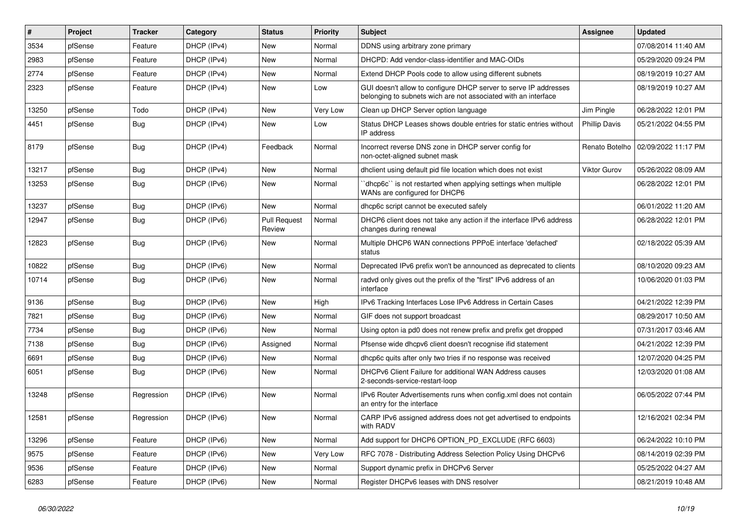| $\vert$ # | Project | <b>Tracker</b> | Category    | <b>Status</b>                 | <b>Priority</b> | <b>Subject</b>                                                                                                                     | <b>Assignee</b>      | <b>Updated</b>      |
|-----------|---------|----------------|-------------|-------------------------------|-----------------|------------------------------------------------------------------------------------------------------------------------------------|----------------------|---------------------|
| 3534      | pfSense | Feature        | DHCP (IPv4) | <b>New</b>                    | Normal          | DDNS using arbitrary zone primary                                                                                                  |                      | 07/08/2014 11:40 AM |
| 2983      | pfSense | Feature        | DHCP (IPv4) | <b>New</b>                    | Normal          | DHCPD: Add vendor-class-identifier and MAC-OIDs                                                                                    |                      | 05/29/2020 09:24 PM |
| 2774      | pfSense | Feature        | DHCP (IPv4) | New                           | Normal          | Extend DHCP Pools code to allow using different subnets                                                                            |                      | 08/19/2019 10:27 AM |
| 2323      | pfSense | Feature        | DHCP (IPv4) | New                           | Low             | GUI doesn't allow to configure DHCP server to serve IP addresses<br>belonging to subnets wich are not associated with an interface |                      | 08/19/2019 10:27 AM |
| 13250     | pfSense | Todo           | DHCP (IPv4) | <b>New</b>                    | <b>Very Low</b> | Clean up DHCP Server option language                                                                                               | Jim Pingle           | 06/28/2022 12:01 PM |
| 4451      | pfSense | <b>Bug</b>     | DHCP (IPv4) | New                           | Low             | Status DHCP Leases shows double entries for static entries without<br>IP address                                                   | <b>Phillip Davis</b> | 05/21/2022 04:55 PM |
| 8179      | pfSense | Bug            | DHCP (IPv4) | Feedback                      | Normal          | Incorrect reverse DNS zone in DHCP server config for<br>non-octet-aligned subnet mask                                              | Renato Botelho       | 02/09/2022 11:17 PM |
| 13217     | pfSense | Bug            | DHCP (IPv4) | New                           | Normal          | dhclient using default pid file location which does not exist                                                                      | Viktor Gurov         | 05/26/2022 08:09 AM |
| 13253     | pfSense | Bug            | DHCP (IPv6) | <b>New</b>                    | Normal          | dhcp6c" is not restarted when applying settings when multiple<br>WANs are configured for DHCP6                                     |                      | 06/28/2022 12:01 PM |
| 13237     | pfSense | Bug            | DHCP (IPv6) | <b>New</b>                    | Normal          | dhcp6c script cannot be executed safely                                                                                            |                      | 06/01/2022 11:20 AM |
| 12947     | pfSense | Bug            | DHCP (IPv6) | <b>Pull Request</b><br>Review | Normal          | DHCP6 client does not take any action if the interface IPv6 address<br>changes during renewal                                      |                      | 06/28/2022 12:01 PM |
| 12823     | pfSense | <b>Bug</b>     | DHCP (IPv6) | New                           | Normal          | Multiple DHCP6 WAN connections PPPoE interface 'defached'<br>status                                                                |                      | 02/18/2022 05:39 AM |
| 10822     | pfSense | Bug            | DHCP (IPv6) | New                           | Normal          | Deprecated IPv6 prefix won't be announced as deprecated to clients                                                                 |                      | 08/10/2020 09:23 AM |
| 10714     | pfSense | Bug            | DHCP (IPv6) | <b>New</b>                    | Normal          | radvd only gives out the prefix of the "first" IPv6 address of an<br>interface                                                     |                      | 10/06/2020 01:03 PM |
| 9136      | pfSense | Bug            | DHCP (IPv6) | New                           | High            | IPv6 Tracking Interfaces Lose IPv6 Address in Certain Cases                                                                        |                      | 04/21/2022 12:39 PM |
| 7821      | pfSense | <b>Bug</b>     | DHCP (IPv6) | <b>New</b>                    | Normal          | GIF does not support broadcast                                                                                                     |                      | 08/29/2017 10:50 AM |
| 7734      | pfSense | <b>Bug</b>     | DHCP (IPv6) | <b>New</b>                    | Normal          | Using opton ia pd0 does not renew prefix and prefix get dropped                                                                    |                      | 07/31/2017 03:46 AM |
| 7138      | pfSense | Bug            | DHCP (IPv6) | Assigned                      | Normal          | Pfsense wide dhcpv6 client doesn't recognise ifid statement                                                                        |                      | 04/21/2022 12:39 PM |
| 6691      | pfSense | Bug            | DHCP (IPv6) | New                           | Normal          | dhcp6c quits after only two tries if no response was received                                                                      |                      | 12/07/2020 04:25 PM |
| 6051      | pfSense | Bug            | DHCP (IPv6) | New                           | Normal          | DHCPv6 Client Failure for additional WAN Address causes<br>2-seconds-service-restart-loop                                          |                      | 12/03/2020 01:08 AM |
| 13248     | pfSense | Regression     | DHCP (IPv6) | New                           | Normal          | IPv6 Router Advertisements runs when config.xml does not contain<br>an entry for the interface                                     |                      | 06/05/2022 07:44 PM |
| 12581     | pfSense | Regression     | DHCP (IPv6) | <b>New</b>                    | Normal          | CARP IPv6 assigned address does not get advertised to endpoints<br>with RADV                                                       |                      | 12/16/2021 02:34 PM |
| 13296     | pfSense | Feature        | DHCP (IPv6) | New                           | Normal          | Add support for DHCP6 OPTION_PD_EXCLUDE (RFC 6603)                                                                                 |                      | 06/24/2022 10:10 PM |
| 9575      | pfSense | Feature        | DHCP (IPv6) | New                           | Very Low        | RFC 7078 - Distributing Address Selection Policy Using DHCPv6                                                                      |                      | 08/14/2019 02:39 PM |
| 9536      | pfSense | Feature        | DHCP (IPv6) | New                           | Normal          | Support dynamic prefix in DHCPv6 Server                                                                                            |                      | 05/25/2022 04:27 AM |
| 6283      | pfSense | Feature        | DHCP (IPv6) | New                           | Normal          | Register DHCPv6 leases with DNS resolver                                                                                           |                      | 08/21/2019 10:48 AM |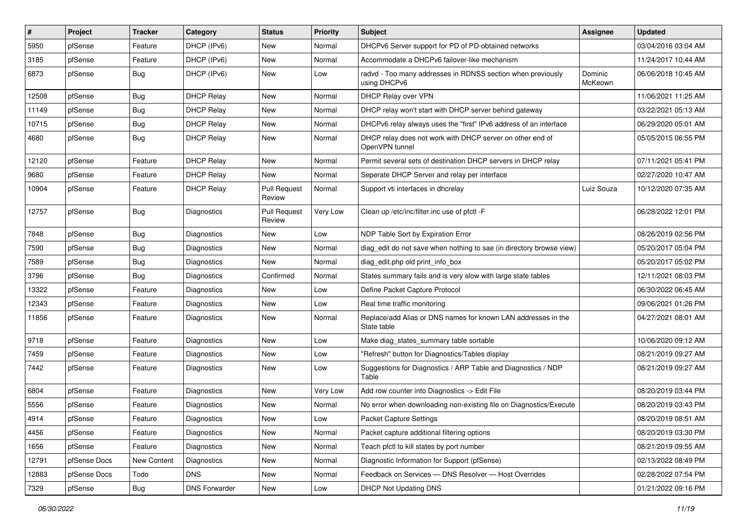| #     | Project      | <b>Tracker</b> | Category             | <b>Status</b>                 | <b>Priority</b> | Subject                                                                      | <b>Assignee</b>    | <b>Updated</b>      |
|-------|--------------|----------------|----------------------|-------------------------------|-----------------|------------------------------------------------------------------------------|--------------------|---------------------|
| 5950  | pfSense      | Feature        | DHCP (IPv6)          | New                           | Normal          | DHCPv6 Server support for PD of PD-obtained networks                         |                    | 03/04/2016 03:04 AM |
| 3185  | pfSense      | Feature        | DHCP (IPv6)          | New                           | Normal          | Accommodate a DHCPv6 failover-like mechanism                                 |                    | 11/24/2017 10:44 AM |
| 6873  | pfSense      | Bug            | DHCP (IPv6)          | New                           | Low             | radvd - Too many addresses in RDNSS section when previously<br>using DHCPv6  | Dominic<br>McKeown | 06/06/2018 10:45 AM |
| 12508 | pfSense      | <b>Bug</b>     | <b>DHCP Relay</b>    | New                           | Normal          | DHCP Relay over VPN                                                          |                    | 11/06/2021 11:25 AM |
| 11149 | pfSense      | <b>Bug</b>     | <b>DHCP Relay</b>    | New                           | Normal          | DHCP relay won't start with DHCP server behind gateway                       |                    | 03/22/2021 05:13 AM |
| 10715 | pfSense      | Bug            | <b>DHCP Relay</b>    | New                           | Normal          | DHCPv6 relay always uses the "first" IPv6 address of an interface            |                    | 06/29/2020 05:01 AM |
| 4680  | pfSense      | <b>Bug</b>     | <b>DHCP Relay</b>    | <b>New</b>                    | Normal          | DHCP relay does not work with DHCP server on other end of<br>OpenVPN tunnel  |                    | 05/05/2015 06:55 PM |
| 12120 | pfSense      | Feature        | <b>DHCP Relay</b>    | New                           | Normal          | Permit several sets of destination DHCP servers in DHCP relay                |                    | 07/11/2021 05:41 PM |
| 9680  | pfSense      | Feature        | DHCP Relav           | New                           | Normal          | Seperate DHCP Server and relay per interface                                 |                    | 02/27/2020 10:47 AM |
| 10904 | pfSense      | Feature        | <b>DHCP Relay</b>    | <b>Pull Request</b><br>Review | Normal          | Support vti interfaces in dhcrelay                                           | Luiz Souza         | 10/12/2020 07:35 AM |
| 12757 | pfSense      | Bug            | Diagnostics          | <b>Pull Request</b><br>Review | Very Low        | Clean up /etc/inc/filter.inc use of pfctl -F                                 |                    | 06/28/2022 12:01 PM |
| 7848  | pfSense      | Bug            | Diagnostics          | New                           | Low             | NDP Table Sort by Expiration Error                                           |                    | 08/26/2019 02:56 PM |
| 7590  | pfSense      | Bug            | Diagnostics          | New                           | Normal          | diag edit do not save when nothing to sae (in directory browse view)         |                    | 05/20/2017 05:04 PM |
| 7589  | pfSense      | <b>Bug</b>     | Diagnostics          | <b>New</b>                    | Normal          | diag edit.php old print info box                                             |                    | 05/20/2017 05:02 PM |
| 3796  | pfSense      | Bug            | Diagnostics          | Confirmed                     | Normal          | States summary fails and is very slow with large state tables                |                    | 12/11/2021 08:03 PM |
| 13322 | pfSense      | Feature        | Diagnostics          | New                           | Low             | Define Packet Capture Protocol                                               |                    | 06/30/2022 06:45 AM |
| 12343 | pfSense      | Feature        | Diagnostics          | <b>New</b>                    | Low             | Real time traffic monitoring                                                 |                    | 09/06/2021 01:26 PM |
| 11856 | pfSense      | Feature        | Diagnostics          | New                           | Normal          | Replace/add Alias or DNS names for known LAN addresses in the<br>State table |                    | 04/27/2021 08:01 AM |
| 9718  | pfSense      | Feature        | Diagnostics          | <b>New</b>                    | Low             | Make diag_states_summary table sortable                                      |                    | 10/06/2020 09:12 AM |
| 7459  | pfSense      | Feature        | Diagnostics          | New                           | Low             | "Refresh" button for Diagnostics/Tables display                              |                    | 08/21/2019 09:27 AM |
| 7442  | pfSense      | Feature        | Diagnostics          | New                           | Low             | Suggestions for Diagnostics / ARP Table and Diagnostics / NDP<br>Table       |                    | 08/21/2019 09:27 AM |
| 6804  | pfSense      | Feature        | Diagnostics          | New                           | Very Low        | Add row counter into Diagnostics -> Edit File                                |                    | 08/20/2019 03:44 PM |
| 5556  | pfSense      | Feature        | Diagnostics          | New                           | Normal          | No error when downloading non-existing file on Diagnostics/Execute           |                    | 08/20/2019 03:43 PM |
| 4914  | pfSense      | Feature        | Diagnostics          | New                           | Low             | <b>Packet Capture Settings</b>                                               |                    | 08/20/2019 08:51 AM |
| 4456  | pfSense      | Feature        | Diagnostics          | New                           | Normal          | Packet capture additional filtering options                                  |                    | 08/20/2019 03:30 PM |
| 1656  | pfSense      | Feature        | Diagnostics          | New                           | Normal          | Teach pfctl to kill states by port number                                    |                    | 08/21/2019 09:55 AM |
| 12791 | pfSense Docs | New Content    | Diagnostics          | New                           | Normal          | Diagnostic Information for Support (pfSense)                                 |                    | 02/13/2022 08:49 PM |
| 12883 | pfSense Docs | Todo           | <b>DNS</b>           | New                           | Normal          | Feedback on Services - DNS Resolver - Host Overrides                         |                    | 02/28/2022 07:54 PM |
| 7329  | pfSense      | <b>Bug</b>     | <b>DNS Forwarder</b> | New                           | Low             | DHCP Not Updating DNS                                                        |                    | 01/21/2022 09:16 PM |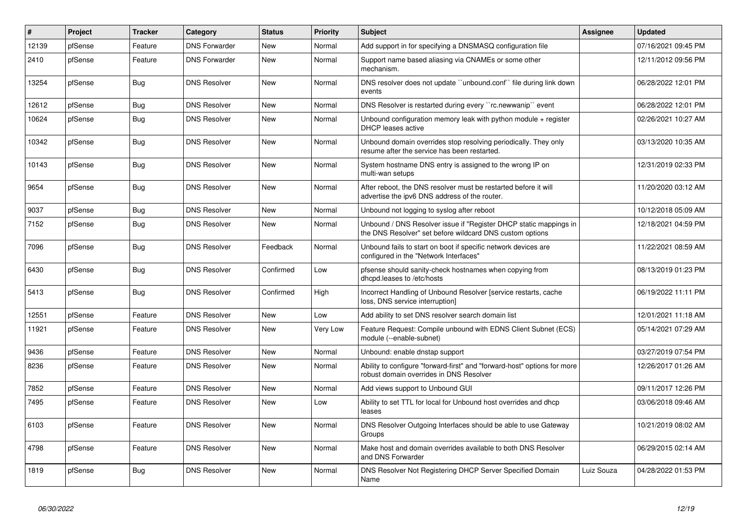| $\vert$ # | Project | <b>Tracker</b> | Category             | <b>Status</b> | <b>Priority</b> | <b>Subject</b>                                                                                                                | <b>Assignee</b> | <b>Updated</b>      |
|-----------|---------|----------------|----------------------|---------------|-----------------|-------------------------------------------------------------------------------------------------------------------------------|-----------------|---------------------|
| 12139     | pfSense | Feature        | <b>DNS Forwarder</b> | <b>New</b>    | Normal          | Add support in for specifying a DNSMASQ configuration file                                                                    |                 | 07/16/2021 09:45 PM |
| 2410      | pfSense | Feature        | <b>DNS Forwarder</b> | <b>New</b>    | Normal          | Support name based aliasing via CNAMEs or some other<br>mechanism.                                                            |                 | 12/11/2012 09:56 PM |
| 13254     | pfSense | Bug            | <b>DNS Resolver</b>  | <b>New</b>    | Normal          | DNS resolver does not update "unbound.conf" file during link down<br>events                                                   |                 | 06/28/2022 12:01 PM |
| 12612     | pfSense | Bug            | <b>DNS Resolver</b>  | <b>New</b>    | Normal          | DNS Resolver is restarted during every "rc.newwanip" event                                                                    |                 | 06/28/2022 12:01 PM |
| 10624     | pfSense | <b>Bug</b>     | <b>DNS Resolver</b>  | New           | Normal          | Unbound configuration memory leak with python module $+$ register<br><b>DHCP</b> leases active                                |                 | 02/26/2021 10:27 AM |
| 10342     | pfSense | <b>Bug</b>     | <b>DNS Resolver</b>  | <b>New</b>    | Normal          | Unbound domain overrides stop resolving periodically. They only<br>resume after the service has been restarted.               |                 | 03/13/2020 10:35 AM |
| 10143     | pfSense | <b>Bug</b>     | <b>DNS Resolver</b>  | New           | Normal          | System hostname DNS entry is assigned to the wrong IP on<br>multi-wan setups                                                  |                 | 12/31/2019 02:33 PM |
| 9654      | pfSense | Bug            | <b>DNS Resolver</b>  | <b>New</b>    | Normal          | After reboot, the DNS resolver must be restarted before it will<br>advertise the ipv6 DNS address of the router.              |                 | 11/20/2020 03:12 AM |
| 9037      | pfSense | <b>Bug</b>     | <b>DNS Resolver</b>  | <b>New</b>    | Normal          | Unbound not logging to syslog after reboot                                                                                    |                 | 10/12/2018 05:09 AM |
| 7152      | pfSense | Bug            | <b>DNS Resolver</b>  | <b>New</b>    | Normal          | Unbound / DNS Resolver issue if "Register DHCP static mappings in<br>the DNS Resolver" set before wildcard DNS custom options |                 | 12/18/2021 04:59 PM |
| 7096      | pfSense | <b>Bug</b>     | <b>DNS Resolver</b>  | Feedback      | Normal          | Unbound fails to start on boot if specific network devices are<br>configured in the "Network Interfaces"                      |                 | 11/22/2021 08:59 AM |
| 6430      | pfSense | <b>Bug</b>     | <b>DNS Resolver</b>  | Confirmed     | Low             | pfsense should sanity-check hostnames when copying from<br>dhcpd.leases to /etc/hosts                                         |                 | 08/13/2019 01:23 PM |
| 5413      | pfSense | Bug            | <b>DNS Resolver</b>  | Confirmed     | High            | Incorrect Handling of Unbound Resolver [service restarts, cache<br>loss, DNS service interruption]                            |                 | 06/19/2022 11:11 PM |
| 12551     | pfSense | Feature        | <b>DNS Resolver</b>  | <b>New</b>    | Low             | Add ability to set DNS resolver search domain list                                                                            |                 | 12/01/2021 11:18 AM |
| 11921     | pfSense | Feature        | <b>DNS Resolver</b>  | <b>New</b>    | Very Low        | Feature Request: Compile unbound with EDNS Client Subnet (ECS)<br>module (--enable-subnet)                                    |                 | 05/14/2021 07:29 AM |
| 9436      | pfSense | Feature        | <b>DNS Resolver</b>  | <b>New</b>    | Normal          | Unbound: enable dnstap support                                                                                                |                 | 03/27/2019 07:54 PM |
| 8236      | pfSense | Feature        | <b>DNS Resolver</b>  | <b>New</b>    | Normal          | Ability to configure "forward-first" and "forward-host" options for more<br>robust domain overrides in DNS Resolver           |                 | 12/26/2017 01:26 AM |
| 7852      | pfSense | Feature        | <b>DNS Resolver</b>  | <b>New</b>    | Normal          | Add views support to Unbound GUI                                                                                              |                 | 09/11/2017 12:26 PM |
| 7495      | pfSense | Feature        | <b>DNS Resolver</b>  | <b>New</b>    | Low             | Ability to set TTL for local for Unbound host overrides and dhcp<br>leases                                                    |                 | 03/06/2018 09:46 AM |
| 6103      | pfSense | Feature        | <b>DNS Resolver</b>  | <b>New</b>    | Normal          | DNS Resolver Outgoing Interfaces should be able to use Gateway<br>Groups                                                      |                 | 10/21/2019 08:02 AM |
| 4798      | pfSense | Feature        | <b>DNS Resolver</b>  | <b>New</b>    | Normal          | Make host and domain overrides available to both DNS Resolver<br>and DNS Forwarder                                            |                 | 06/29/2015 02:14 AM |
| 1819      | pfSense | <b>Bug</b>     | <b>DNS Resolver</b>  | <b>New</b>    | Normal          | DNS Resolver Not Registering DHCP Server Specified Domain<br>Name                                                             | Luiz Souza      | 04/28/2022 01:53 PM |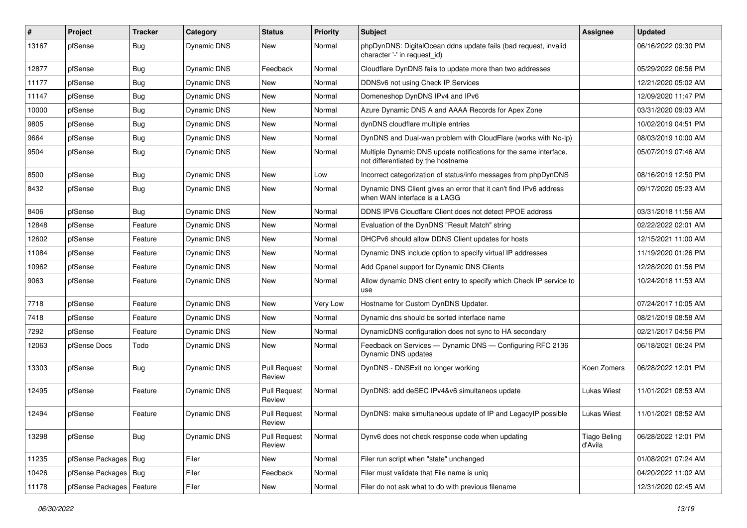| $\vert$ # | Project                | <b>Tracker</b> | Category           | <b>Status</b>                        | <b>Priority</b> | Subject                                                                                                 | Assignee                       | <b>Updated</b>      |
|-----------|------------------------|----------------|--------------------|--------------------------------------|-----------------|---------------------------------------------------------------------------------------------------------|--------------------------------|---------------------|
| 13167     | pfSense                | <b>Bug</b>     | Dynamic DNS        | New                                  | Normal          | phpDynDNS: DigitalOcean ddns update fails (bad request, invalid<br>character '-' in request id)         |                                | 06/16/2022 09:30 PM |
| 12877     | pfSense                | Bug            | <b>Dynamic DNS</b> | Feedback                             | Normal          | Cloudflare DynDNS fails to update more than two addresses                                               |                                | 05/29/2022 06:56 PM |
| 11177     | pfSense                | Bug            | Dynamic DNS        | New                                  | Normal          | DDNSv6 not using Check IP Services                                                                      |                                | 12/21/2020 05:02 AM |
| 11147     | pfSense                | <b>Bug</b>     | Dynamic DNS        | New                                  | Normal          | Domeneshop DynDNS IPv4 and IPv6                                                                         |                                | 12/09/2020 11:47 PM |
| 10000     | pfSense                | Bug            | Dynamic DNS        | New                                  | Normal          | Azure Dynamic DNS A and AAAA Records for Apex Zone                                                      |                                | 03/31/2020 09:03 AM |
| 9805      | pfSense                | Bug            | Dynamic DNS        | New                                  | Normal          | dynDNS cloudflare multiple entries                                                                      |                                | 10/02/2019 04:51 PM |
| 9664      | pfSense                | Bug            | Dynamic DNS        | New                                  | Normal          | DynDNS and Dual-wan problem with CloudFlare (works with No-Ip)                                          |                                | 08/03/2019 10:00 AM |
| 9504      | pfSense                | Bug            | Dynamic DNS        | New                                  | Normal          | Multiple Dynamic DNS update notifications for the same interface,<br>not differentiated by the hostname |                                | 05/07/2019 07:46 AM |
| 8500      | pfSense                | Bug            | Dynamic DNS        | New                                  | Low             | Incorrect categorization of status/info messages from phpDynDNS                                         |                                | 08/16/2019 12:50 PM |
| 8432      | pfSense                | <b>Bug</b>     | Dynamic DNS        | New                                  | Normal          | Dynamic DNS Client gives an error that it can't find IPv6 address<br>when WAN interface is a LAGG       |                                | 09/17/2020 05:23 AM |
| 8406      | pfSense                | <b>Bug</b>     | <b>Dynamic DNS</b> | New                                  | Normal          | DDNS IPV6 Cloudflare Client does not detect PPOE address                                                |                                | 03/31/2018 11:56 AM |
| 12848     | pfSense                | Feature        | Dynamic DNS        | New                                  | Normal          | Evaluation of the DynDNS "Result Match" string                                                          |                                | 02/22/2022 02:01 AM |
| 12602     | pfSense                | Feature        | Dynamic DNS        | New                                  | Normal          | DHCPv6 should allow DDNS Client updates for hosts                                                       |                                | 12/15/2021 11:00 AM |
| 11084     | pfSense                | Feature        | Dynamic DNS        | New                                  | Normal          | Dynamic DNS include option to specify virtual IP addresses                                              |                                | 11/19/2020 01:26 PM |
| 10962     | pfSense                | Feature        | Dynamic DNS        | <b>New</b>                           | Normal          | Add Cpanel support for Dynamic DNS Clients                                                              |                                | 12/28/2020 01:56 PM |
| 9063      | pfSense                | Feature        | Dynamic DNS        | New                                  | Normal          | Allow dynamic DNS client entry to specify which Check IP service to<br>use                              |                                | 10/24/2018 11:53 AM |
| 7718      | pfSense                | Feature        | Dynamic DNS        | <b>New</b>                           | Very Low        | Hostname for Custom DynDNS Updater.                                                                     |                                | 07/24/2017 10:05 AM |
| 7418      | pfSense                | Feature        | Dynamic DNS        | New                                  | Normal          | Dynamic dns should be sorted interface name                                                             |                                | 08/21/2019 08:58 AM |
| 7292      | pfSense                | Feature        | Dynamic DNS        | New                                  | Normal          | DynamicDNS configuration does not sync to HA secondary                                                  |                                | 02/21/2017 04:56 PM |
| 12063     | pfSense Docs           | Todo           | Dynamic DNS        | New                                  | Normal          | Feedback on Services - Dynamic DNS - Configuring RFC 2136<br>Dynamic DNS updates                        |                                | 06/18/2021 06:24 PM |
| 13303     | pfSense                | Bug            | Dynamic DNS        | <b>Pull Request</b><br>Review        | Normal          | DynDNS - DNSExit no longer working                                                                      | Koen Zomers                    | 06/28/2022 12:01 PM |
| 12495     | pfSense                | Feature        | Dynamic DNS        | <b>Pull Request</b><br>Review        | Normal          | DynDNS: add deSEC IPv4&v6 simultaneos update                                                            | <b>Lukas Wiest</b>             | 11/01/2021 08:53 AM |
| 12494     | pfSense                | Feature        | Dynamic DNS        | <b>Pull Request</b><br><b>Heview</b> | Normal          | DynDNS: make simultaneous update of IP and LegacyIP possible                                            | Lukas Wiest                    | 11/01/2021 08:52 AM |
| 13298     | pfSense                | <b>Bug</b>     | Dynamic DNS        | <b>Pull Request</b><br>Review        | Normal          | Dynv6 does not check response code when updating                                                        | <b>Tiago Beling</b><br>d'Avila | 06/28/2022 12:01 PM |
| 11235     | pfSense Packages   Bug |                | Filer              | New                                  | Normal          | Filer run script when "state" unchanged                                                                 |                                | 01/08/2021 07:24 AM |
| 10426     | pfSense Packages   Bug |                | Filer              | Feedback                             | Normal          | Filer must validate that File name is uniq                                                              |                                | 04/20/2022 11:02 AM |
| 11178     | pfSense Packages       | Feature        | Filer              | New                                  | Normal          | Filer do not ask what to do with previous filename                                                      |                                | 12/31/2020 02:45 AM |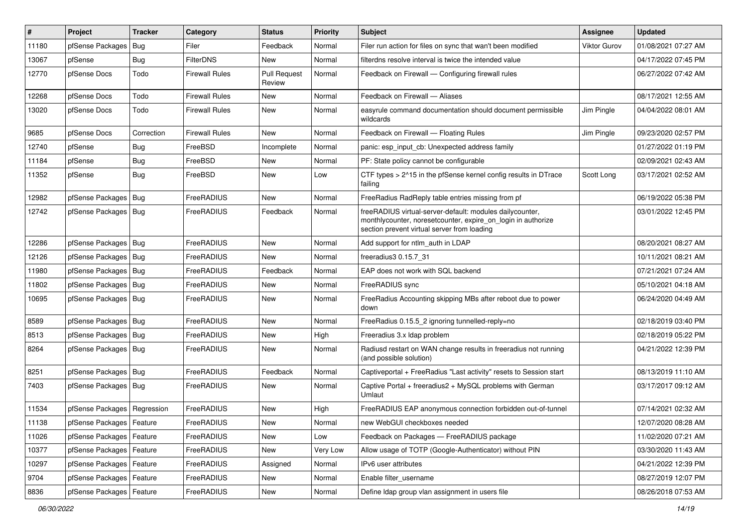| #     | Project                       | <b>Tracker</b> | Category              | <b>Status</b>                 | <b>Priority</b> | <b>Subject</b>                                                                                                                                                          | <b>Assignee</b>     | <b>Updated</b>      |
|-------|-------------------------------|----------------|-----------------------|-------------------------------|-----------------|-------------------------------------------------------------------------------------------------------------------------------------------------------------------------|---------------------|---------------------|
| 11180 | pfSense Packages              | Bug            | Filer                 | Feedback                      | Normal          | Filer run action for files on sync that wan't been modified                                                                                                             | <b>Viktor Gurov</b> | 01/08/2021 07:27 AM |
| 13067 | pfSense                       | Bug            | <b>FilterDNS</b>      | <b>New</b>                    | Normal          | filterdns resolve interval is twice the intended value                                                                                                                  |                     | 04/17/2022 07:45 PM |
| 12770 | pfSense Docs                  | Todo           | <b>Firewall Rules</b> | <b>Pull Request</b><br>Review | Normal          | Feedback on Firewall - Configuring firewall rules                                                                                                                       |                     | 06/27/2022 07:42 AM |
| 12268 | pfSense Docs                  | Todo           | <b>Firewall Rules</b> | <b>New</b>                    | Normal          | Feedback on Firewall - Aliases                                                                                                                                          |                     | 08/17/2021 12:55 AM |
| 13020 | pfSense Docs                  | Todo           | Firewall Rules        | New                           | Normal          | easyrule command documentation should document permissible<br>wildcards                                                                                                 | Jim Pingle          | 04/04/2022 08:01 AM |
| 9685  | pfSense Docs                  | Correction     | <b>Firewall Rules</b> | <b>New</b>                    | Normal          | Feedback on Firewall - Floating Rules                                                                                                                                   | Jim Pingle          | 09/23/2020 02:57 PM |
| 12740 | pfSense                       | <b>Bug</b>     | FreeBSD               | Incomplete                    | Normal          | panic: esp input cb: Unexpected address family                                                                                                                          |                     | 01/27/2022 01:19 PM |
| 11184 | pfSense                       | <b>Bug</b>     | FreeBSD               | New                           | Normal          | PF: State policy cannot be configurable                                                                                                                                 |                     | 02/09/2021 02:43 AM |
| 11352 | pfSense                       | <b>Bug</b>     | FreeBSD               | New                           | Low             | CTF types > 2^15 in the pfSense kernel config results in DTrace<br>failing                                                                                              | Scott Long          | 03/17/2021 02:52 AM |
| 12982 | pfSense Packages   Bug        |                | FreeRADIUS            | <b>New</b>                    | Normal          | FreeRadius RadReply table entries missing from pf                                                                                                                       |                     | 06/19/2022 05:38 PM |
| 12742 | pfSense Packages   Bug        |                | FreeRADIUS            | Feedback                      | Normal          | freeRADIUS virtual-server-default: modules dailycounter,<br>monthlycounter, noresetcounter, expire_on_login in authorize<br>section prevent virtual server from loading |                     | 03/01/2022 12:45 PM |
| 12286 | pfSense Packages   Bug        |                | FreeRADIUS            | New                           | Normal          | Add support for ntlm auth in LDAP                                                                                                                                       |                     | 08/20/2021 08:27 AM |
| 12126 | pfSense Packages   Bug        |                | FreeRADIUS            | New                           | Normal          | freeradius3 0.15.7_31                                                                                                                                                   |                     | 10/11/2021 08:21 AM |
| 11980 | pfSense Packages   Bug        |                | FreeRADIUS            | Feedback                      | Normal          | EAP does not work with SQL backend                                                                                                                                      |                     | 07/21/2021 07:24 AM |
| 11802 | pfSense Packages   Bug        |                | FreeRADIUS            | New                           | Normal          | FreeRADIUS sync                                                                                                                                                         |                     | 05/10/2021 04:18 AM |
| 10695 | pfSense Packages   Bug        |                | FreeRADIUS            | New                           | Normal          | FreeRadius Accounting skipping MBs after reboot due to power<br>down                                                                                                    |                     | 06/24/2020 04:49 AM |
| 8589  | pfSense Packages   Bug        |                | FreeRADIUS            | New                           | Normal          | FreeRadius 0.15.5_2 ignoring tunnelled-reply=no                                                                                                                         |                     | 02/18/2019 03:40 PM |
| 8513  | pfSense Packages   Bug        |                | FreeRADIUS            | New                           | High            | Freeradius 3.x Idap problem                                                                                                                                             |                     | 02/18/2019 05:22 PM |
| 8264  | pfSense Packages   Bug        |                | FreeRADIUS            | New                           | Normal          | Radiusd restart on WAN change results in freeradius not running<br>(and possible solution)                                                                              |                     | 04/21/2022 12:39 PM |
| 8251  | pfSense Packages   Bug        |                | FreeRADIUS            | Feedback                      | Normal          | Captiveportal + FreeRadius "Last activity" resets to Session start                                                                                                      |                     | 08/13/2019 11:10 AM |
| 7403  | pfSense Packages   Bug        |                | FreeRADIUS            | New                           | Normal          | Captive Portal + freeradius2 + MySQL problems with German<br>Umlaut                                                                                                     |                     | 03/17/2017 09:12 AM |
| 11534 | pfSense Packages   Regression |                | <b>FreeRADIUS</b>     | New                           | High            | FreeRADIUS EAP anonymous connection forbidden out-of-tunnel                                                                                                             |                     | 07/14/2021 02:32 AM |
| 11138 | pfSense Packages   Feature    |                | FreeRADIUS            | New                           | Normal          | new WebGUI checkboxes needed                                                                                                                                            |                     | 12/07/2020 08:28 AM |
| 11026 | pfSense Packages   Feature    |                | FreeRADIUS            | New                           | Low             | Feedback on Packages - FreeRADIUS package                                                                                                                               |                     | 11/02/2020 07:21 AM |
| 10377 | pfSense Packages   Feature    |                | FreeRADIUS            | New                           | Very Low        | Allow usage of TOTP (Google-Authenticator) without PIN                                                                                                                  |                     | 03/30/2020 11:43 AM |
| 10297 | pfSense Packages   Feature    |                | FreeRADIUS            | Assigned                      | Normal          | IPv6 user attributes                                                                                                                                                    |                     | 04/21/2022 12:39 PM |
| 9704  | pfSense Packages   Feature    |                | FreeRADIUS            | New                           | Normal          | Enable filter username                                                                                                                                                  |                     | 08/27/2019 12:07 PM |
| 8836  | pfSense Packages   Feature    |                | FreeRADIUS            | New                           | Normal          | Define Idap group vlan assignment in users file                                                                                                                         |                     | 08/26/2018 07:53 AM |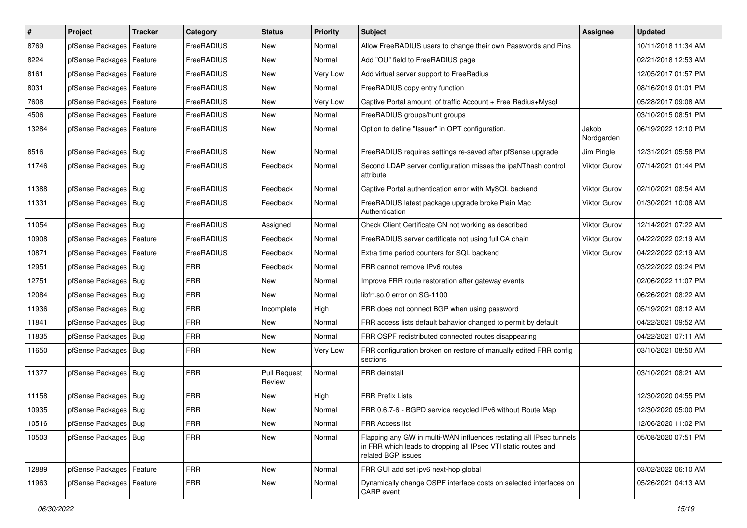| $\vert$ # | Project                    | <b>Tracker</b> | Category   | <b>Status</b>                 | <b>Priority</b> | Subject                                                                                                                                                     | Assignee            | <b>Updated</b>      |
|-----------|----------------------------|----------------|------------|-------------------------------|-----------------|-------------------------------------------------------------------------------------------------------------------------------------------------------------|---------------------|---------------------|
| 8769      | pfSense Packages           | Feature        | FreeRADIUS | New                           | Normal          | Allow FreeRADIUS users to change their own Passwords and Pins                                                                                               |                     | 10/11/2018 11:34 AM |
| 8224      | pfSense Packages   Feature |                | FreeRADIUS | New                           | Normal          | Add "OU" field to FreeRADIUS page                                                                                                                           |                     | 02/21/2018 12:53 AM |
| 8161      | pfSense Packages           | Feature        | FreeRADIUS | New                           | Very Low        | Add virtual server support to FreeRadius                                                                                                                    |                     | 12/05/2017 01:57 PM |
| 8031      | pfSense Packages           | Feature        | FreeRADIUS | New                           | Normal          | FreeRADIUS copy entry function                                                                                                                              |                     | 08/16/2019 01:01 PM |
| 7608      | pfSense Packages   Feature |                | FreeRADIUS | New                           | Very Low        | Captive Portal amount of traffic Account + Free Radius+Mysql                                                                                                |                     | 05/28/2017 09:08 AM |
| 4506      | pfSense Packages   Feature |                | FreeRADIUS | New                           | Normal          | FreeRADIUS groups/hunt groups                                                                                                                               |                     | 03/10/2015 08:51 PM |
| 13284     | pfSense Packages   Feature |                | FreeRADIUS | New                           | Normal          | Option to define "Issuer" in OPT configuration.                                                                                                             | Jakob<br>Nordgarden | 06/19/2022 12:10 PM |
| 8516      | pfSense Packages   Bug     |                | FreeRADIUS | <b>New</b>                    | Normal          | FreeRADIUS requires settings re-saved after pfSense upgrade                                                                                                 | Jim Pingle          | 12/31/2021 05:58 PM |
| 11746     | pfSense Packages   Bug     |                | FreeRADIUS | Feedback                      | Normal          | Second LDAP server configuration misses the ipaNThash control<br>attribute                                                                                  | <b>Viktor Gurov</b> | 07/14/2021 01:44 PM |
| 11388     | pfSense Packages   Bug     |                | FreeRADIUS | Feedback                      | Normal          | Captive Portal authentication error with MySQL backend                                                                                                      | <b>Viktor Gurov</b> | 02/10/2021 08:54 AM |
| 11331     | pfSense Packages   Bug     |                | FreeRADIUS | Feedback                      | Normal          | FreeRADIUS latest package upgrade broke Plain Mac<br>Authentication                                                                                         | <b>Viktor Gurov</b> | 01/30/2021 10:08 AM |
| 11054     | pfSense Packages   Bug     |                | FreeRADIUS | Assigned                      | Normal          | Check Client Certificate CN not working as described                                                                                                        | Viktor Gurov        | 12/14/2021 07:22 AM |
| 10908     | pfSense Packages           | Feature        | FreeRADIUS | Feedback                      | Normal          | FreeRADIUS server certificate not using full CA chain                                                                                                       | Viktor Gurov        | 04/22/2022 02:19 AM |
| 10871     | pfSense Packages   Feature |                | FreeRADIUS | Feedback                      | Normal          | Extra time period counters for SQL backend                                                                                                                  | Viktor Gurov        | 04/22/2022 02:19 AM |
| 12951     | pfSense Packages   Bug     |                | <b>FRR</b> | Feedback                      | Normal          | FRR cannot remove IPv6 routes                                                                                                                               |                     | 03/22/2022 09:24 PM |
| 12751     | pfSense Packages   Bug     |                | <b>FRR</b> | New                           | Normal          | Improve FRR route restoration after gateway events                                                                                                          |                     | 02/06/2022 11:07 PM |
| 12084     | pfSense Packages   Bug     |                | <b>FRR</b> | New                           | Normal          | libfrr.so.0 error on SG-1100                                                                                                                                |                     | 06/26/2021 08:22 AM |
| 11936     | pfSense Packages   Bug     |                | <b>FRR</b> | Incomplete                    | High            | FRR does not connect BGP when using password                                                                                                                |                     | 05/19/2021 08:12 AM |
| 11841     | pfSense Packages   Bug     |                | <b>FRR</b> | New                           | Normal          | FRR access lists default bahavior changed to permit by default                                                                                              |                     | 04/22/2021 09:52 AM |
| 11835     | pfSense Packages   Bug     |                | <b>FRR</b> | New                           | Normal          | FRR OSPF redistributed connected routes disappearing                                                                                                        |                     | 04/22/2021 07:11 AM |
| 11650     | pfSense Packages   Bug     |                | <b>FRR</b> | New                           | Very Low        | FRR configuration broken on restore of manually edited FRR config<br>sections                                                                               |                     | 03/10/2021 08:50 AM |
| 11377     | pfSense Packages   Bug     |                | <b>FRR</b> | <b>Pull Request</b><br>Review | Normal          | <b>FRR</b> deinstall                                                                                                                                        |                     | 03/10/2021 08:21 AM |
| 11158     | pfSense Packages   Bug     |                | <b>FRR</b> | <b>New</b>                    | High            | <b>FRR Prefix Lists</b>                                                                                                                                     |                     | 12/30/2020 04:55 PM |
| 10935     | pfSense Packages   Bug     |                | <b>FRR</b> | New                           | Normal          | FRR 0.6.7-6 - BGPD service recycled IPv6 without Route Map                                                                                                  |                     | 12/30/2020 05:00 PM |
| 10516     | pfSense Packages   Bug     |                | FRR        | New                           | Normal          | <b>FRR Access list</b>                                                                                                                                      |                     | 12/06/2020 11:02 PM |
| 10503     | pfSense Packages   Bug     |                | <b>FRR</b> | New                           | Normal          | Flapping any GW in multi-WAN influences restating all IPsec tunnels<br>in FRR which leads to dropping all IPsec VTI static routes and<br>related BGP issues |                     | 05/08/2020 07:51 PM |
| 12889     | pfSense Packages   Feature |                | <b>FRR</b> | New                           | Normal          | FRR GUI add set ipv6 next-hop global                                                                                                                        |                     | 03/02/2022 06:10 AM |
| 11963     | pfSense Packages   Feature |                | <b>FRR</b> | New                           | Normal          | Dynamically change OSPF interface costs on selected interfaces on<br>CARP event                                                                             |                     | 05/26/2021 04:13 AM |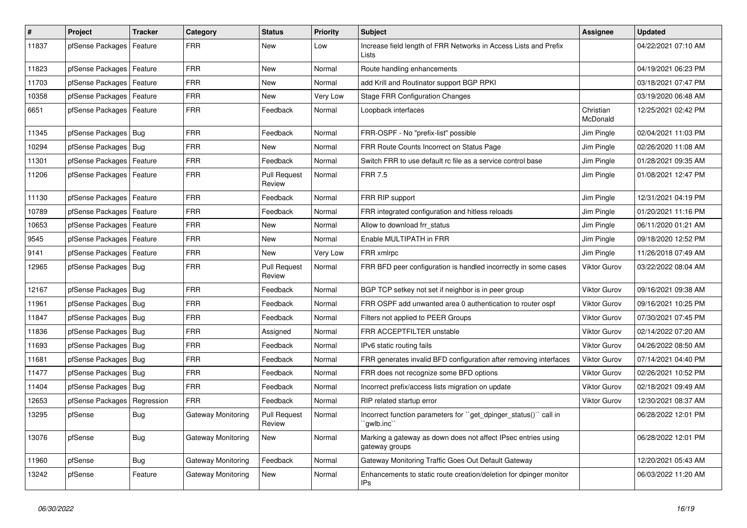| $\vert$ # | Project                    | <b>Tracker</b> | Category                  | <b>Status</b>                        | <b>Priority</b> | Subject                                                                         | Assignee              | <b>Updated</b>      |
|-----------|----------------------------|----------------|---------------------------|--------------------------------------|-----------------|---------------------------------------------------------------------------------|-----------------------|---------------------|
| 11837     | pfSense Packages           | Feature        | <b>FRR</b>                | New                                  | Low             | Increase field length of FRR Networks in Access Lists and Prefix<br>Lists       |                       | 04/22/2021 07:10 AM |
| 11823     | pfSense Packages           | Feature        | <b>FRR</b>                | New                                  | Normal          | Route handling enhancements                                                     |                       | 04/19/2021 06:23 PM |
| 11703     | pfSense Packages   Feature |                | <b>FRR</b>                | New                                  | Normal          | add Krill and Routinator support BGP RPKI                                       |                       | 03/18/2021 07:47 PM |
| 10358     | pfSense Packages           | Feature        | <b>FRR</b>                | New                                  | Very Low        | <b>Stage FRR Configuration Changes</b>                                          |                       | 03/19/2020 06:48 AM |
| 6651      | pfSense Packages           | Feature        | <b>FRR</b>                | Feedback                             | Normal          | Loopback interfaces                                                             | Christian<br>McDonald | 12/25/2021 02:42 PM |
| 11345     | pfSense Packages           | Bug            | <b>FRR</b>                | Feedback                             | Normal          | FRR-OSPF - No "prefix-list" possible                                            | Jim Pingle            | 02/04/2021 11:03 PM |
| 10294     | pfSense Packages           | Bug            | <b>FRR</b>                | New                                  | Normal          | FRR Route Counts Incorrect on Status Page                                       | Jim Pingle            | 02/26/2020 11:08 AM |
| 11301     | pfSense Packages           | Feature        | <b>FRR</b>                | Feedback                             | Normal          | Switch FRR to use default rc file as a service control base                     | Jim Pingle            | 01/28/2021 09:35 AM |
| 11206     | pfSense Packages           | Feature        | <b>FRR</b>                | <b>Pull Request</b><br>Review        | Normal          | <b>FRR 7.5</b>                                                                  | Jim Pingle            | 01/08/2021 12:47 PM |
| 11130     | pfSense Packages           | Feature        | <b>FRR</b>                | Feedback                             | Normal          | FRR RIP support                                                                 | Jim Pingle            | 12/31/2021 04:19 PM |
| 10789     | pfSense Packages           | Feature        | <b>FRR</b>                | Feedback                             | Normal          | FRR integrated configuration and hitless reloads                                | Jim Pingle            | 01/20/2021 11:16 PM |
| 10653     | pfSense Packages           | Feature        | <b>FRR</b>                | New                                  | Normal          | Allow to download frr_status                                                    | Jim Pingle            | 06/11/2020 01:21 AM |
| 9545      | pfSense Packages           | Feature        | <b>FRR</b>                | New                                  | Normal          | Enable MULTIPATH in FRR                                                         | Jim Pingle            | 09/18/2020 12:52 PM |
| 9141      | pfSense Packages   Feature |                | <b>FRR</b>                | <b>New</b>                           | Very Low        | FRR xmlrpc                                                                      | Jim Pingle            | 11/26/2018 07:49 AM |
| 12965     | pfSense Packages           | Bug            | <b>FRR</b>                | <b>Pull Request</b><br>Review        | Normal          | FRR BFD peer configuration is handled incorrectly in some cases                 | <b>Viktor Gurov</b>   | 03/22/2022 08:04 AM |
| 12167     | pfSense Packages   Bug     |                | <b>FRR</b>                | Feedback                             | Normal          | BGP TCP setkey not set if neighbor is in peer group                             | Viktor Gurov          | 09/16/2021 09:38 AM |
| 11961     | pfSense Packages           | <b>Bug</b>     | <b>FRR</b>                | Feedback                             | Normal          | FRR OSPF add unwanted area 0 authentication to router ospf                      | <b>Viktor Gurov</b>   | 09/16/2021 10:25 PM |
| 11847     | pfSense Packages   Bug     |                | <b>FRR</b>                | Feedback                             | Normal          | Filters not applied to PEER Groups                                              | Viktor Gurov          | 07/30/2021 07:45 PM |
| 11836     | pfSense Packages           | Bug            | <b>FRR</b>                | Assigned                             | Normal          | <b>FRR ACCEPTFILTER unstable</b>                                                | <b>Viktor Gurov</b>   | 02/14/2022 07:20 AM |
| 11693     | pfSense Packages   Bug     |                | <b>FRR</b>                | Feedback                             | Normal          | IPv6 static routing fails                                                       | Viktor Gurov          | 04/26/2022 08:50 AM |
| 11681     | pfSense Packages   Bug     |                | <b>FRR</b>                | Feedback                             | Normal          | FRR generates invalid BFD configuration after removing interfaces               | <b>Viktor Gurov</b>   | 07/14/2021 04:40 PM |
| 11477     | pfSense Packages           | <b>Bug</b>     | <b>FRR</b>                | Feedback                             | Normal          | FRR does not recognize some BFD options                                         | Viktor Gurov          | 02/26/2021 10:52 PM |
| 11404     | pfSense Packages           | Bug            | <b>FRR</b>                | Feedback                             | Normal          | Incorrect prefix/access lists migration on update                               | <b>Viktor Gurov</b>   | 02/18/2021 09:49 AM |
| 12653     | pfSense Packages           | Regression     | <b>FRR</b>                | Feedback                             | Normal          | RIP related startup error                                                       | <b>Viktor Gurov</b>   | 12/30/2021 08:37 AM |
| 13295     | pfSense                    | <b>Bug</b>     | Gateway Monitoring        | <b>Pull Request</b><br><b>Heview</b> | Normal          | Incorrect function parameters for "get_dpinger_status()" call in<br>gwlb.inc    |                       | 06/28/2022 12:01 PM |
| 13076     | pfSense                    | <b>Bug</b>     | Gateway Monitoring        | New                                  | Normal          | Marking a gateway as down does not affect IPsec entries using<br>gateway groups |                       | 06/28/2022 12:01 PM |
| 11960     | pfSense                    | Bug            | <b>Gateway Monitoring</b> | Feedback                             | Normal          | Gateway Monitoring Traffic Goes Out Default Gateway                             |                       | 12/20/2021 05:43 AM |
| 13242     | pfSense                    | Feature        | Gateway Monitoring        | New                                  | Normal          | Enhancements to static route creation/deletion for dpinger monitor<br>IPs       |                       | 06/03/2022 11:20 AM |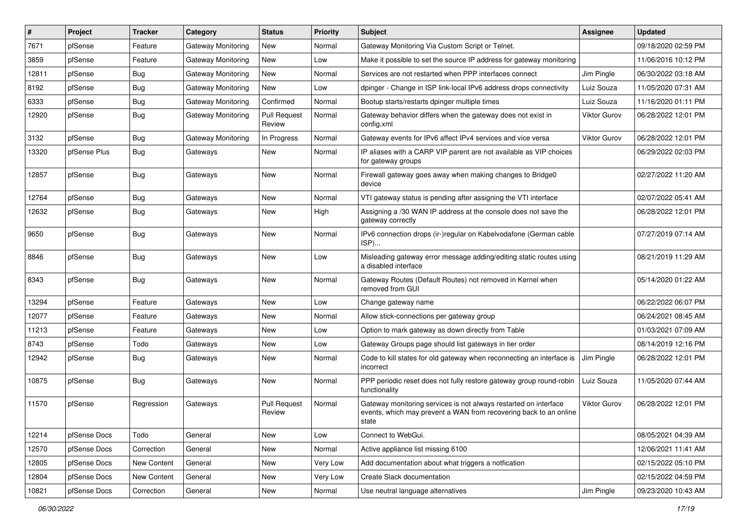| $\vert$ # | Project      | <b>Tracker</b>     | Category                  | <b>Status</b>                 | <b>Priority</b> | Subject                                                                                                                                        | Assignee            | <b>Updated</b>      |
|-----------|--------------|--------------------|---------------------------|-------------------------------|-----------------|------------------------------------------------------------------------------------------------------------------------------------------------|---------------------|---------------------|
| 7671      | pfSense      | Feature            | <b>Gateway Monitoring</b> | New                           | Normal          | Gateway Monitoring Via Custom Script or Telnet.                                                                                                |                     | 09/18/2020 02:59 PM |
| 3859      | pfSense      | Feature            | Gateway Monitoring        | <b>New</b>                    | Low             | Make it possible to set the source IP address for gateway monitoring                                                                           |                     | 11/06/2016 10:12 PM |
| 12811     | pfSense      | <b>Bug</b>         | Gateway Monitoring        | New                           | Normal          | Services are not restarted when PPP interfaces connect                                                                                         | Jim Pingle          | 06/30/2022 03:18 AM |
| 8192      | pfSense      | <b>Bug</b>         | Gateway Monitoring        | <b>New</b>                    | Low             | dpinger - Change in ISP link-local IPv6 address drops connectivity                                                                             | Luiz Souza          | 11/05/2020 07:31 AM |
| 6333      | pfSense      | <b>Bug</b>         | <b>Gateway Monitoring</b> | Confirmed                     | Normal          | Bootup starts/restarts dpinger multiple times                                                                                                  | Luiz Souza          | 11/16/2020 01:11 PM |
| 12920     | pfSense      | Bug                | Gateway Monitoring        | <b>Pull Request</b><br>Review | Normal          | Gateway behavior differs when the gateway does not exist in<br>config.xml                                                                      | <b>Viktor Gurov</b> | 06/28/2022 12:01 PM |
| 3132      | pfSense      | <b>Bug</b>         | <b>Gateway Monitoring</b> | In Progress                   | Normal          | Gateway events for IPv6 affect IPv4 services and vice versa                                                                                    | Viktor Gurov        | 06/28/2022 12:01 PM |
| 13320     | pfSense Plus | Bug                | Gateways                  | New                           | Normal          | IP aliases with a CARP VIP parent are not available as VIP choices<br>for gateway groups                                                       |                     | 06/29/2022 02:03 PM |
| 12857     | pfSense      | Bug                | Gateways                  | <b>New</b>                    | Normal          | Firewall gateway goes away when making changes to Bridge0<br>device                                                                            |                     | 02/27/2022 11:20 AM |
| 12764     | pfSense      | Bug                | Gateways                  | <b>New</b>                    | Normal          | VTI gateway status is pending after assigning the VTI interface                                                                                |                     | 02/07/2022 05:41 AM |
| 12632     | pfSense      | <b>Bug</b>         | Gateways                  | New                           | High            | Assigning a /30 WAN IP address at the console does not save the<br>gateway correctly                                                           |                     | 06/28/2022 12:01 PM |
| 9650      | pfSense      | <b>Bug</b>         | Gateways                  | <b>New</b>                    | Normal          | IPv6 connection drops (ir-)regular on Kabelvodafone (German cable<br>ISP)                                                                      |                     | 07/27/2019 07:14 AM |
| 8846      | pfSense      | Bug                | Gateways                  | New                           | Low             | Misleading gateway error message adding/editing static routes using<br>a disabled interface                                                    |                     | 08/21/2019 11:29 AM |
| 8343      | pfSense      | Bug                | Gateways                  | New                           | Normal          | Gateway Routes (Default Routes) not removed in Kernel when<br>removed from GUI                                                                 |                     | 05/14/2020 01:22 AM |
| 13294     | pfSense      | Feature            | Gateways                  | New                           | Low             | Change gateway name                                                                                                                            |                     | 06/22/2022 06:07 PM |
| 12077     | pfSense      | Feature            | Gateways                  | New                           | Normal          | Allow stick-connections per gateway group                                                                                                      |                     | 06/24/2021 08:45 AM |
| 11213     | pfSense      | Feature            | Gateways                  | <b>New</b>                    | Low             | Option to mark gateway as down directly from Table                                                                                             |                     | 01/03/2021 07:09 AM |
| 8743      | pfSense      | Todo               | Gateways                  | New                           | Low             | Gateway Groups page should list gateways in tier order                                                                                         |                     | 08/14/2019 12:16 PM |
| 12942     | pfSense      | Bug                | Gateways                  | New                           | Normal          | Code to kill states for old gateway when reconnecting an interface is<br>incorrect                                                             | Jim Pingle          | 06/28/2022 12:01 PM |
| 10875     | pfSense      | Bug                | Gateways                  | New                           | Normal          | PPP periodic reset does not fully restore gateway group round-robin<br>functionality                                                           | Luiz Souza          | 11/05/2020 07:44 AM |
| 11570     | pfSense      | Regression         | Gateways                  | <b>Pull Request</b><br>Review | Normal          | Gateway monitoring services is not always restarted on interface<br>events, which may prevent a WAN from recovering back to an online<br>state | Viktor Gurov        | 06/28/2022 12:01 PM |
| 12214     | pfSense Docs | Todo               | General                   | New                           | Low             | Connect to WebGui.                                                                                                                             |                     | 08/05/2021 04:39 AM |
| 12570     | pfSense Docs | Correction         | General                   | New                           | Normal          | Active appliance list missing 6100                                                                                                             |                     | 12/06/2021 11:41 AM |
| 12805     | pfSense Docs | New Content        | General                   | New                           | Very Low        | Add documentation about what triggers a notfication                                                                                            |                     | 02/15/2022 05:10 PM |
| 12804     | pfSense Docs | <b>New Content</b> | General                   | New                           | Very Low        | Create Slack documentation                                                                                                                     |                     | 02/15/2022 04:59 PM |
| 10821     | pfSense Docs | Correction         | General                   | New                           | Normal          | Use neutral language alternatives                                                                                                              | Jim Pingle          | 09/23/2020 10:43 AM |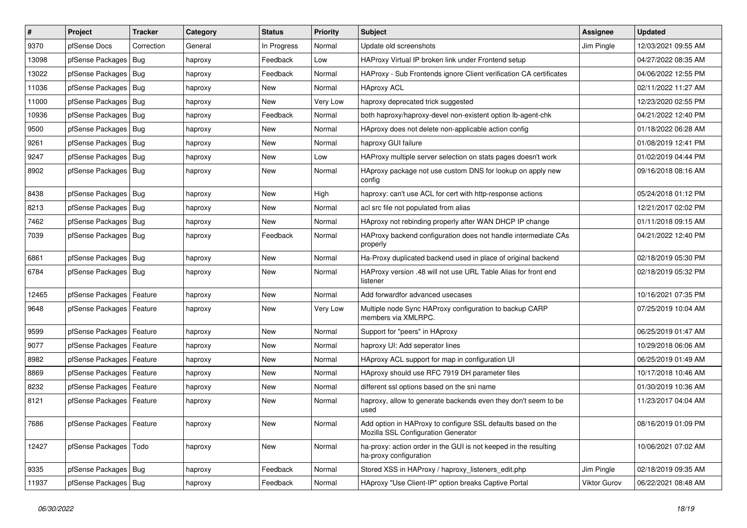| $\vert$ # | Project                    | <b>Tracker</b> | Category | <b>Status</b> | <b>Priority</b> | Subject                                                                                             | Assignee     | <b>Updated</b>      |
|-----------|----------------------------|----------------|----------|---------------|-----------------|-----------------------------------------------------------------------------------------------------|--------------|---------------------|
| 9370      | pfSense Docs               | Correction     | General  | In Progress   | Normal          | Update old screenshots                                                                              | Jim Pingle   | 12/03/2021 09:55 AM |
| 13098     | pfSense Packages   Bug     |                | haproxy  | Feedback      | Low             | HAProxy Virtual IP broken link under Frontend setup                                                 |              | 04/27/2022 08:35 AM |
| 13022     | pfSense Packages   Bug     |                | haproxy  | Feedback      | Normal          | HAProxy - Sub Frontends ignore Client verification CA certificates                                  |              | 04/06/2022 12:55 PM |
| 11036     | pfSense Packages   Bug     |                | haproxy  | <b>New</b>    | Normal          | <b>HAproxy ACL</b>                                                                                  |              | 02/11/2022 11:27 AM |
| 11000     | pfSense Packages   Bug     |                | haproxy  | <b>New</b>    | Very Low        | haproxy deprecated trick suggested                                                                  |              | 12/23/2020 02:55 PM |
| 10936     | pfSense Packages   Bug     |                | haproxy  | Feedback      | Normal          | both haproxy/haproxy-devel non-existent option lb-agent-chk                                         |              | 04/21/2022 12:40 PM |
| 9500      | pfSense Packages   Bug     |                | haproxy  | New           | Normal          | HAproxy does not delete non-applicable action config                                                |              | 01/18/2022 06:28 AM |
| 9261      | pfSense Packages   Bug     |                | haproxy  | New           | Normal          | haproxy GUI failure                                                                                 |              | 01/08/2019 12:41 PM |
| 9247      | pfSense Packages   Bug     |                | haproxy  | New           | Low             | HAProxy multiple server selection on stats pages doesn't work                                       |              | 01/02/2019 04:44 PM |
| 8902      | pfSense Packages   Bug     |                | haproxy  | <b>New</b>    | Normal          | HAproxy package not use custom DNS for lookup on apply new<br>config                                |              | 09/16/2018 08:16 AM |
| 8438      | pfSense Packages   Bug     |                | haproxy  | <b>New</b>    | High            | haproxy: can't use ACL for cert with http-response actions                                          |              | 05/24/2018 01:12 PM |
| 8213      | pfSense Packages   Bug     |                | haproxy  | <b>New</b>    | Normal          | acl src file not populated from alias                                                               |              | 12/21/2017 02:02 PM |
| 7462      | pfSense Packages   Bug     |                | haproxy  | New           | Normal          | HAproxy not rebinding properly after WAN DHCP IP change                                             |              | 01/11/2018 09:15 AM |
| 7039      | pfSense Packages   Bug     |                | haproxy  | Feedback      | Normal          | HAProxy backend configuration does not handle intermediate CAs<br>properly                          |              | 04/21/2022 12:40 PM |
| 6861      | pfSense Packages   Bug     |                | haproxy  | New           | Normal          | Ha-Proxy duplicated backend used in place of original backend                                       |              | 02/18/2019 05:30 PM |
| 6784      | pfSense Packages   Bug     |                | haproxy  | New           | Normal          | HAProxy version .48 will not use URL Table Alias for front end<br>listener                          |              | 02/18/2019 05:32 PM |
| 12465     | pfSense Packages   Feature |                | haproxy  | <b>New</b>    | Normal          | Add forwardfor advanced usecases                                                                    |              | 10/16/2021 07:35 PM |
| 9648      | pfSense Packages   Feature |                | haproxy  | <b>New</b>    | Very Low        | Multiple node Sync HAProxy configuration to backup CARP<br>members via XMLRPC.                      |              | 07/25/2019 10:04 AM |
| 9599      | pfSense Packages   Feature |                | haproxy  | New           | Normal          | Support for "peers" in HAproxy                                                                      |              | 06/25/2019 01:47 AM |
| 9077      | pfSense Packages   Feature |                | haproxy  | New           | Normal          | haproxy UI: Add seperator lines                                                                     |              | 10/29/2018 06:06 AM |
| 8982      | pfSense Packages   Feature |                | haproxy  | New           | Normal          | HAproxy ACL support for map in configuration UI                                                     |              | 06/25/2019 01:49 AM |
| 8869      | pfSense Packages           | Feature        | haproxy  | New           | Normal          | HAproxy should use RFC 7919 DH parameter files                                                      |              | 10/17/2018 10:46 AM |
| 8232      | pfSense Packages   Feature |                | haproxy  | New           | Normal          | different ssl options based on the sni name                                                         |              | 01/30/2019 10:36 AM |
| 8121      | pfSense Packages   Feature |                | haproxy  | New           | Normal          | haproxy, allow to generate backends even they don't seem to be<br>used                              |              | 11/23/2017 04:04 AM |
| 7686      | pfSense Packages   Feature |                | haproxy  | New           | Normal          | Add option in HAProxy to configure SSL defaults based on the<br>Mozilla SSL Configuration Generator |              | 08/16/2019 01:09 PM |
| 12427     | pfSense Packages   Todo    |                | haproxy  | New           | Normal          | ha-proxy: action order in the GUI is not keeped in the resulting<br>ha-proxy configuration          |              | 10/06/2021 07:02 AM |
| 9335      | pfSense Packages   Bug     |                | haproxy  | Feedback      | Normal          | Stored XSS in HAProxy / haproxy listeners edit.php                                                  | Jim Pingle   | 02/18/2019 09:35 AM |
| 11937     | pfSense Packages   Bug     |                | haproxy  | Feedback      | Normal          | HAproxy "Use Client-IP" option breaks Captive Portal                                                | Viktor Gurov | 06/22/2021 08:48 AM |